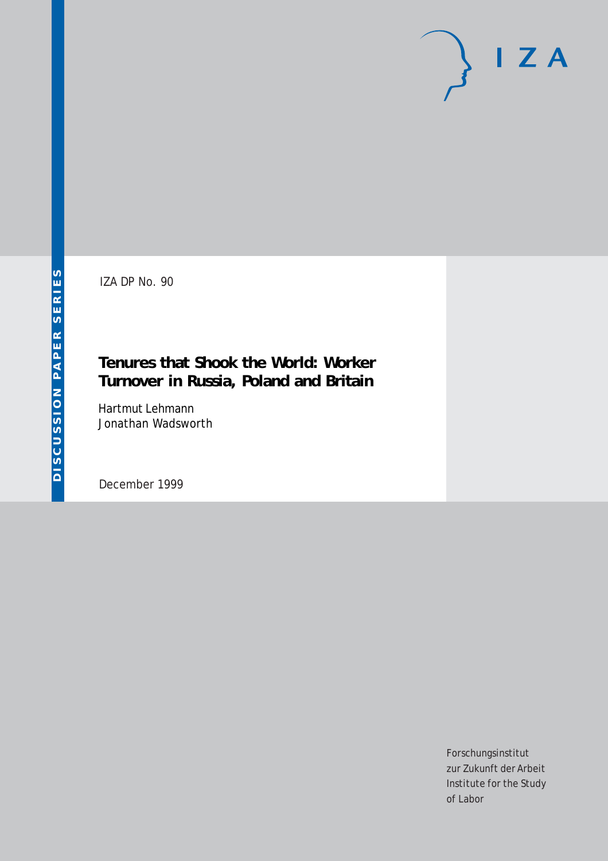# $I Z A$

IZA DP No. 90

# **Tenures that Shook the World: Worker Turnover in Russia, Poland and Britain**

Hartmut Lehmann Jonathan Wadsworth

December 1999

Forschungsinstitut zur Zukunft der Arbeit Institute for the Study of Labor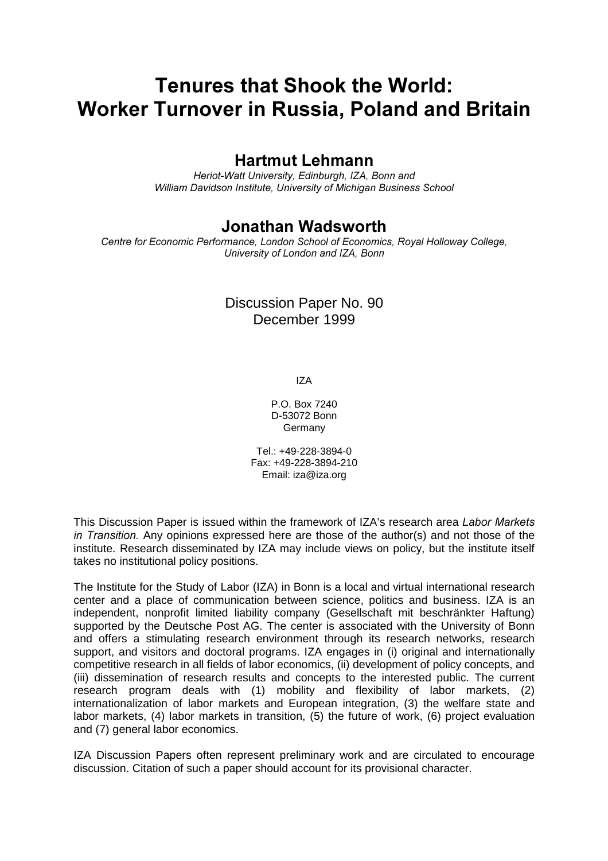# Tenures that Shook the World: Worker Turnover in Russia, Poland and Britain

## **Hartmut Lehmann**

Heriot-Watt University, Edinburgh, IZA, Bonn and William Davidson Institute, University of Michigan Business School

## Jonathan Wadsworth

Centre for Economic Performance, London School of Economics, Royal Holloway College, University of London and IZA, Bonn

## Discussion Paper No. 90 December 1999

IZA

P.O. Box 7240 D-53072 Bonn Germany

Tel.: +49-228-3894-0 Fax: +49-228-3894-210 Email: iza@iza.org

This Discussion Paper is issued within the framework of IZA's research area Labor Markets in Transition. Any opinions expressed here are those of the author(s) and not those of the institute. Research disseminated by IZA may include views on policy, but the institute itself takes no institutional policy positions.

The Institute for the Study of Labor (IZA) in Bonn is a local and virtual international research center and a place of communication between science, politics and business. IZA is an independent, nonprofit limited liability company (Gesellschaft mit beschränkter Haftung) supported by the Deutsche Post AG. The center is associated with the University of Bonn and offers a stimulating research environment through its research networks, research support, and visitors and doctoral programs. IZA engages in (i) original and internationally competitive research in all fields of labor economics, (ii) development of policy concepts, and (iii) dissemination of research results and concepts to the interested public. The current research program deals with (1) mobility and flexibility of labor markets, (2) internationalization of labor markets and European integration, (3) the welfare state and labor markets, (4) labor markets in transition, (5) the future of work, (6) project evaluation and (7) general labor economics.

IZA Discussion Papers often represent preliminary work and are circulated to encourage discussion. Citation of such a paper should account for its provisional character.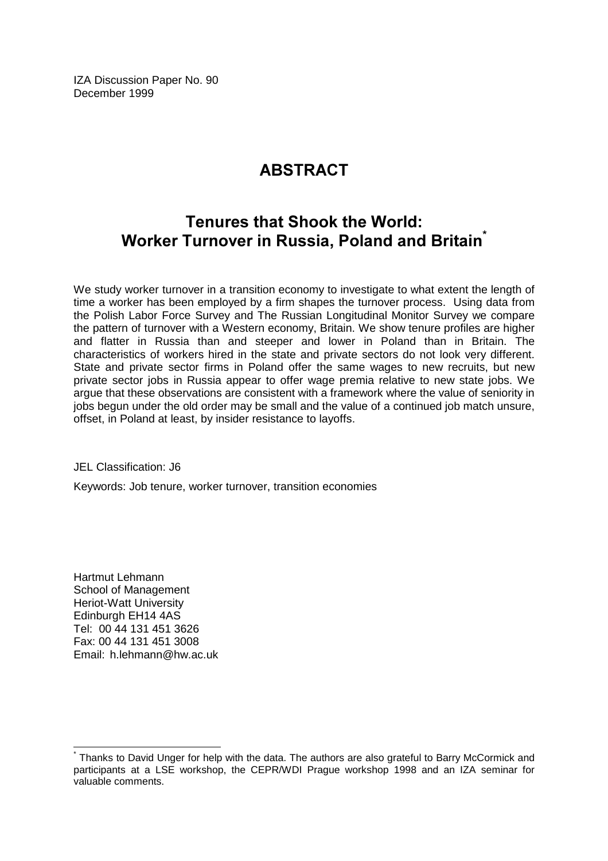IZA Discussion Paper No. 90 December 1999

# **ARSTRACT**

# Tenures that Shook the World: Worker Turnover in Russia, Poland and Britain $\check{\;\;}$

We study worker turnover in a transition economy to investigate to what extent the length of time a worker has been employed by a firm shapes the turnover process. Using data from the Polish Labor Force Survey and The Russian Longitudinal Monitor Survey we compare the pattern of turnover with a Western economy, Britain. We show tenure profiles are higher and flatter in Russia than and steeper and lower in Poland than in Britain. The characteristics of workers hired in the state and private sectors do not look very different. State and private sector firms in Poland offer the same wages to new recruits, but new private sector jobs in Russia appear to offer wage premia relative to new state jobs. We argue that these observations are consistent with a framework where the value of seniority in jobs begun under the old order may be small and the value of a continued job match unsure, offset, in Poland at least, by insider resistance to layoffs.

JEL Classification: J6

Keywords: Job tenure, worker turnover, transition economies

Hartmut Lehmann School of Management Heriot-Watt University Edinburgh EH14 4AS Tel: 00 44 131 451 3626 Fax: 00 44 131 451 3008 Email: h.lehmann@hw.ac.uk

 $\overline{\phantom{a}}$ 

<sup>\*</sup> Thanks to David Unger for help with the data. The authors are also grateful to Barry McCormick and participants at a LSE workshop, the CEPR/WDI Prague workshop 1998 and an IZA seminar for valuable comments.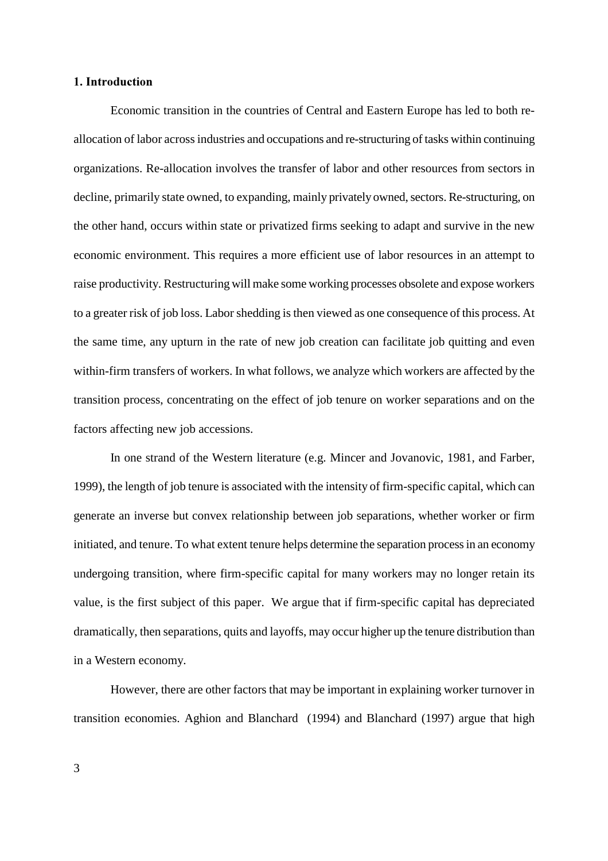#### 1. Introduction

Economic transition in the countries of Central and Eastern Europe has led to both reallocation of labor across industries and occupations and re-structuring of tasks within continuing organizations. Re-allocation involves the transfer of labor and other resources from sectors in decline, primarily state owned, to expanding, mainly privately owned, sectors. Re-structuring, on the other hand, occurs within state or privatized firms seeking to adapt and survive in the new economic environment. This requires a more efficient use of labor resources in an attempt to raise productivity. Restructuring will make some working processes obsolete and expose workers to a greater risk of job loss. Labor shedding is then viewed as one consequence of this process. At the same time, any upturn in the rate of new job creation can facilitate job quitting and even within-firm transfers of workers. In what follows, we analyze which workers are affected by the transition process, concentrating on the effect of job tenure on worker separations and on the factors affecting new job accessions.

In one strand of the Western literature (e.g. Mincer and Jovanovic, 1981, and Farber, 1999), the length of job tenure is associated with the intensity of firm-specific capital, which can generate an inverse but convex relationship between job separations, whether worker or firm initiated, and tenure. To what extent tenure helps determine the separation process in an economy undergoing transition, where firm-specific capital for many workers may no longer retain its value, is the first subject of this paper. We argue that if firm-specific capital has depreciated dramatically, then separations, quits and layoffs, may occur higher up the tenure distribution than in a Western economy.

However, there are other factors that may be important in explaining worker turnover in transition economies. Aghion and Blanchard (1994) and Blanchard (1997) argue that high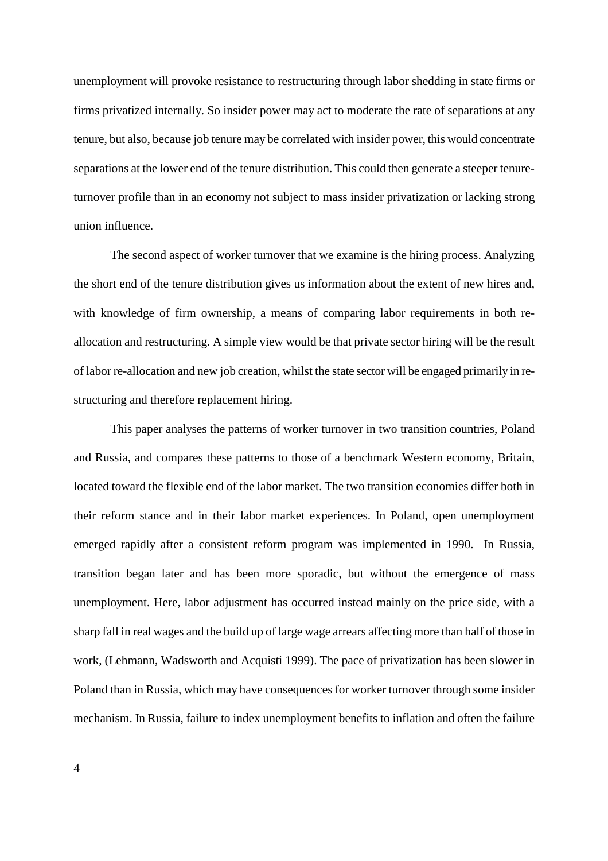unemployment will provoke resistance to restructuring through labor shedding in state firms or firms privatized internally. So insider power may act to moderate the rate of separations at any tenure, but also, because job tenure may be correlated with insider power, this would concentrate separations at the lower end of the tenure distribution. This could then generate a steeper tenureturnover profile than in an economy not subject to mass insider privatization or lacking strong union influence.

The second aspect of worker turnover that we examine is the hiring process. Analyzing the short end of the tenure distribution gives us information about the extent of new hires and, with knowledge of firm ownership, a means of comparing labor requirements in both reallocation and restructuring. A simple view would be that private sector hiring will be the result of labor re-allocation and new job creation, whilst the state sector will be engaged primarily in restructuring and therefore replacement hiring.

 This paper analyses the patterns of worker turnover in two transition countries, Poland and Russia, and compares these patterns to those of a benchmark Western economy, Britain, located toward the flexible end of the labor market. The two transition economies differ both in their reform stance and in their labor market experiences. In Poland, open unemployment emerged rapidly after a consistent reform program was implemented in 1990. In Russia, transition began later and has been more sporadic, but without the emergence of mass unemployment. Here, labor adjustment has occurred instead mainly on the price side, with a sharp fall in real wages and the build up of large wage arrears affecting more than half of those in work, (Lehmann, Wadsworth and Acquisti 1999). The pace of privatization has been slower in Poland than in Russia, which may have consequences for worker turnover through some insider mechanism. In Russia, failure to index unemployment benefits to inflation and often the failure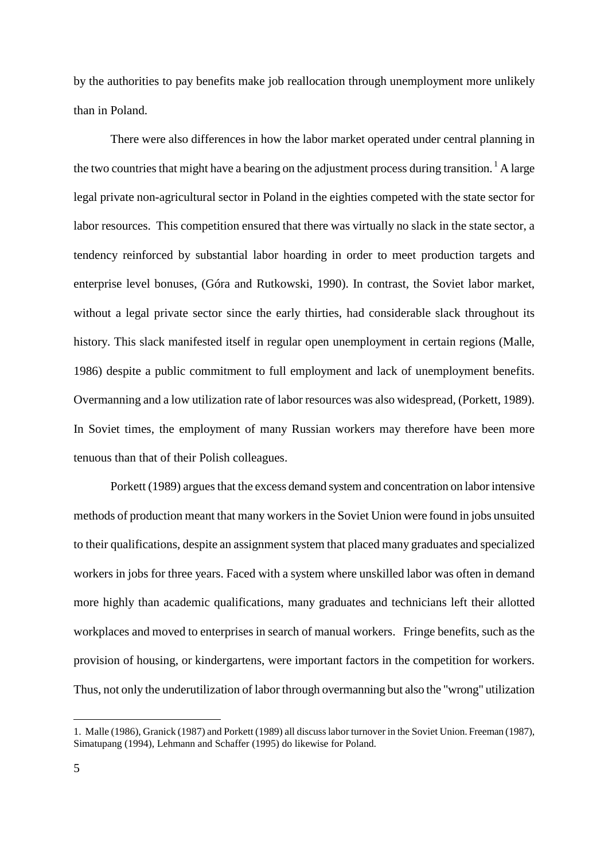by the authorities to pay benefits make job reallocation through unemployment more unlikely than in Poland.

There were also differences in how the labor market operated under central planning in the two countries that might have a bearing on the adjustment process during transition.<sup>1</sup> A large legal private non-agricultural sector in Poland in the eighties competed with the state sector for labor resources. This competition ensured that there was virtually no slack in the state sector, a tendency reinforced by substantial labor hoarding in order to meet production targets and enterprise level bonuses, (Góra and Rutkowski, 1990). In contrast, the Soviet labor market, without a legal private sector since the early thirties, had considerable slack throughout its history. This slack manifested itself in regular open unemployment in certain regions (Malle, 1986) despite a public commitment to full employment and lack of unemployment benefits. Overmanning and a low utilization rate of labor resources was also widespread, (Porkett, 1989). In Soviet times, the employment of many Russian workers may therefore have been more tenuous than that of their Polish colleagues.

Porkett (1989) argues that the excess demand system and concentration on labor intensive methods of production meant that many workers in the Soviet Union were found in jobs unsuited to their qualifications, despite an assignment system that placed many graduates and specialized workers in jobs for three years. Faced with a system where unskilled labor was often in demand more highly than academic qualifications, many graduates and technicians left their allotted workplaces and moved to enterprises in search of manual workers. Fringe benefits, such as the provision of housing, or kindergartens, were important factors in the competition for workers. Thus, not only the underutilization of labor through overmanning but also the "wrong" utilization

<sup>1.</sup> Malle (1986), Granick (1987) and Porkett (1989) all discuss labor turnover in the Soviet Union. Freeman (1987), Simatupang (1994), Lehmann and Schaffer (1995) do likewise for Poland.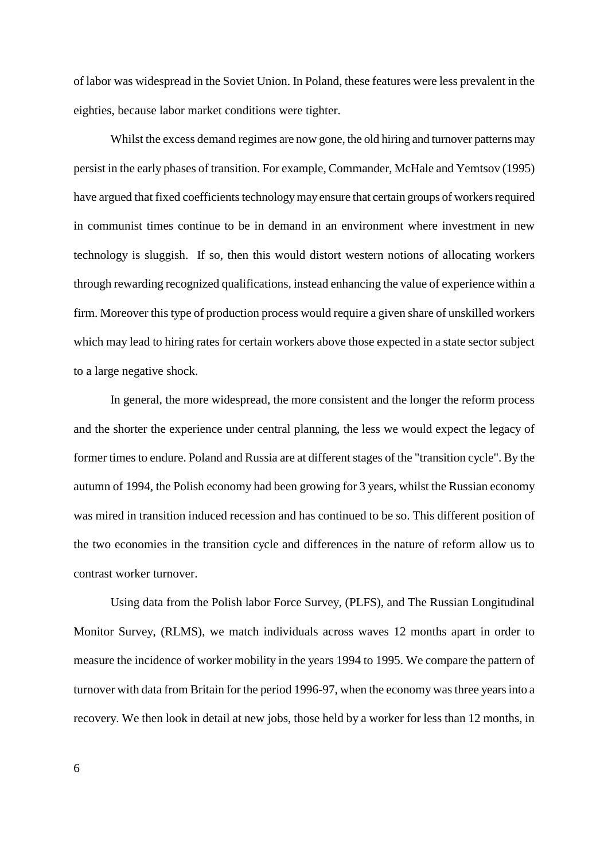of labor was widespread in the Soviet Union. In Poland, these features were less prevalent in the eighties, because labor market conditions were tighter.

Whilst the excess demand regimes are now gone, the old hiring and turnover patterns may persist in the early phases of transition. For example, Commander, McHale and Yemtsov (1995) have argued that fixed coefficients technology may ensure that certain groups of workers required in communist times continue to be in demand in an environment where investment in new technology is sluggish. If so, then this would distort western notions of allocating workers through rewarding recognized qualifications, instead enhancing the value of experience within a firm. Moreover this type of production process would require a given share of unskilled workers which may lead to hiring rates for certain workers above those expected in a state sector subject to a large negative shock.

In general, the more widespread, the more consistent and the longer the reform process and the shorter the experience under central planning, the less we would expect the legacy of former times to endure. Poland and Russia are at different stages of the "transition cycle". By the autumn of 1994, the Polish economy had been growing for 3 years, whilst the Russian economy was mired in transition induced recession and has continued to be so. This different position of the two economies in the transition cycle and differences in the nature of reform allow us to contrast worker turnover.

Using data from the Polish labor Force Survey, (PLFS), and The Russian Longitudinal Monitor Survey, (RLMS), we match individuals across waves 12 months apart in order to measure the incidence of worker mobility in the years 1994 to 1995. We compare the pattern of turnover with data from Britain for the period 1996-97, when the economy was three years into a recovery. We then look in detail at new jobs, those held by a worker for less than 12 months, in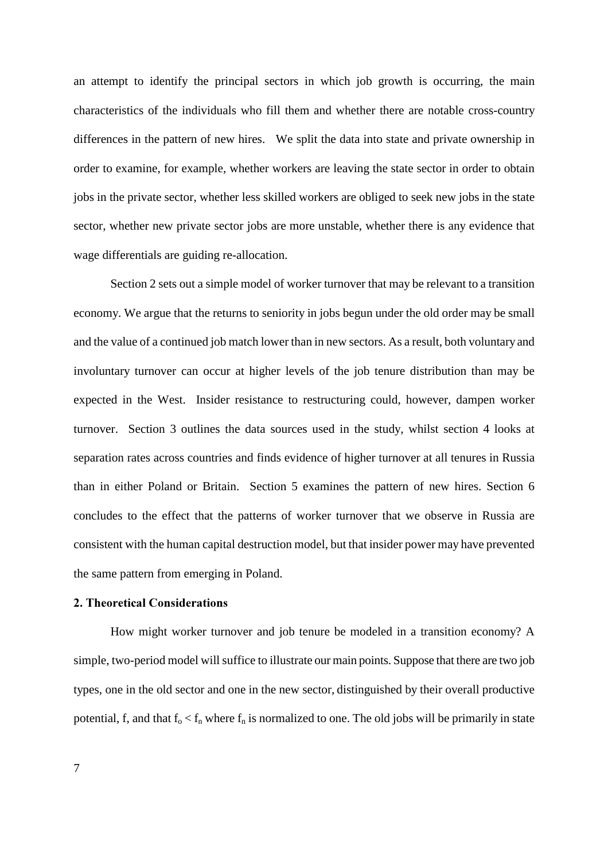an attempt to identify the principal sectors in which job growth is occurring, the main characteristics of the individuals who fill them and whether there are notable cross-country differences in the pattern of new hires. We split the data into state and private ownership in order to examine, for example, whether workers are leaving the state sector in order to obtain jobs in the private sector, whether less skilled workers are obliged to seek new jobs in the state sector, whether new private sector jobs are more unstable, whether there is any evidence that wage differentials are guiding re-allocation.

Section 2 sets out a simple model of worker turnover that may be relevant to a transition economy. We argue that the returns to seniority in jobs begun under the old order may be small and the value of a continued job match lower than in new sectors. As a result, both voluntary and involuntary turnover can occur at higher levels of the job tenure distribution than may be expected in the West. Insider resistance to restructuring could, however, dampen worker turnover. Section 3 outlines the data sources used in the study, whilst section 4 looks at separation rates across countries and finds evidence of higher turnover at all tenures in Russia than in either Poland or Britain. Section 5 examines the pattern of new hires. Section 6 concludes to the effect that the patterns of worker turnover that we observe in Russia are consistent with the human capital destruction model, but that insider power may have prevented the same pattern from emerging in Poland.

#### 2. Theoretical Considerations

How might worker turnover and job tenure be modeled in a transition economy? A simple, two-period model will suffice to illustrate our main points. Suppose that there are two job types, one in the old sector and one in the new sector, distinguished by their overall productive potential, f, and that  $f_0 < f_n$  where  $f_n$  is normalized to one. The old jobs will be primarily in state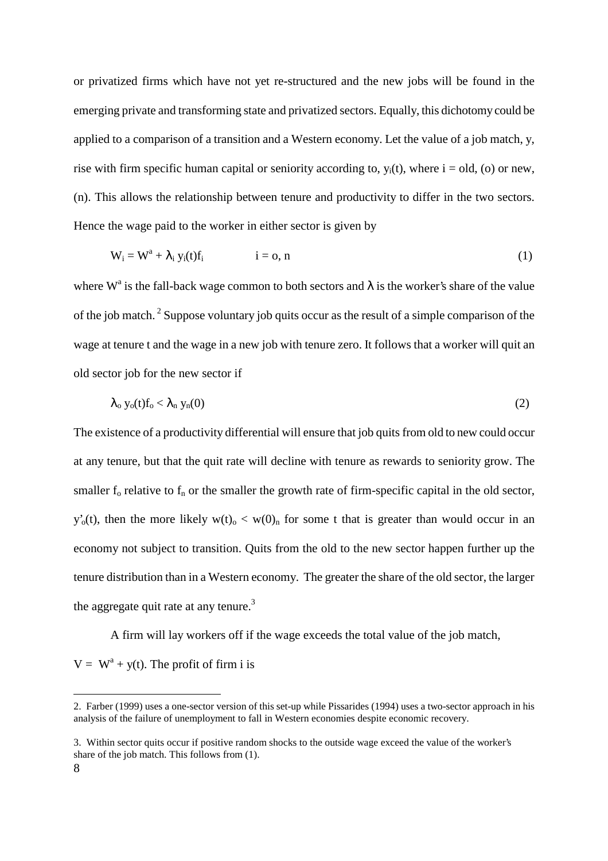or privatized firms which have not yet re-structured and the new jobs will be found in the emerging private and transforming state and privatized sectors. Equally, this dichotomy could be applied to a comparison of a transition and a Western economy. Let the value of a job match, y, rise with firm specific human capital or seniority according to,  $y_i(t)$ , where  $i = old$ , (o) or new, (n). This allows the relationship between tenure and productivity to differ in the two sectors. Hence the wage paid to the worker in either sector is given by

$$
W_i = W^a + \lambda_i y_i(t) f_i \qquad i = o, n \qquad (1)
$$

where W<sup>a</sup> is the fall-back wage common to both sectors and  $\lambda$  is the worker's share of the value of the job match. 2 Suppose voluntary job quits occur as the result of a simple comparison of the wage at tenure t and the wage in a new job with tenure zero. It follows that a worker will quit an old sector job for the new sector if

$$
\lambda_0 y_0(t) f_0 < \lambda_n y_n(0) \tag{2}
$$

The existence of a productivity differential will ensure that job quits from old to new could occur at any tenure, but that the quit rate will decline with tenure as rewards to seniority grow. The smaller  $f_0$  relative to  $f_n$  or the smaller the growth rate of firm-specific capital in the old sector,  $y'_{0}(t)$ , then the more likely  $w(t)_{0} < w(0)_{n}$  for some t that is greater than would occur in an economy not subject to transition. Quits from the old to the new sector happen further up the tenure distribution than in a Western economy. The greater the share of the old sector, the larger the aggregate quit rate at any tenure.<sup>3</sup>

 A firm will lay workers off if the wage exceeds the total value of the job match,  $V = W<sup>a</sup> + y(t)$ . The profit of firm i is

<sup>2.</sup> Farber (1999) uses a one-sector version of this set-up while Pissarides (1994) uses a two-sector approach in his analysis of the failure of unemployment to fall in Western economies despite economic recovery.

<sup>3.</sup> Within sector quits occur if positive random shocks to the outside wage exceed the value of the worker's share of the job match. This follows from (1).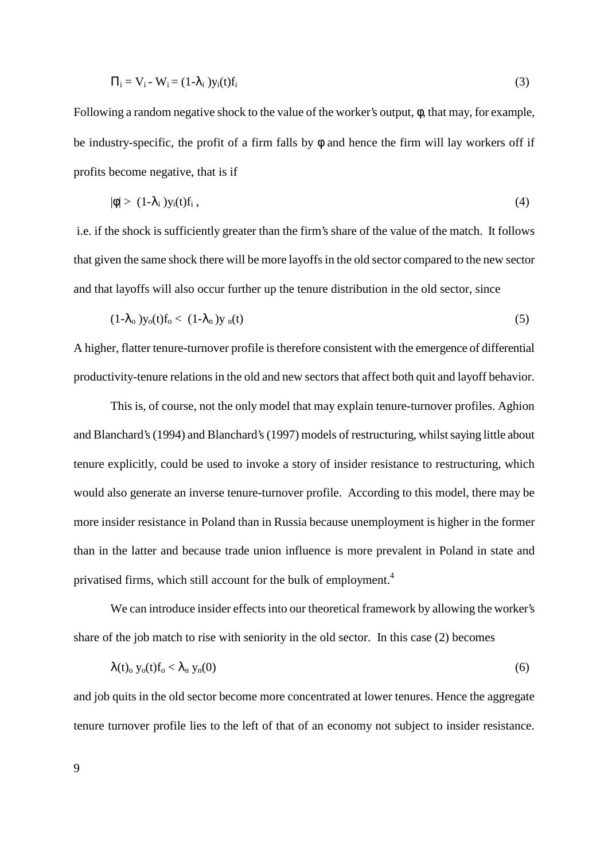$$
\Pi_i = V_i - W_i = (1 - \lambda_i) y_i(t) f_i \tag{3}
$$

Following a random negative shock to the value of the worker's output, φ, that may, for example, be industry-specific, the profit of a firm falls by φ and hence the firm will lay workers off if profits become negative, that is if

$$
|\phi| > (1-\lambda_i)y_i(t)f_i, \qquad (4)
$$

 i.e. if the shock is sufficiently greater than the firm's share of the value of the match. It follows that given the same shock there will be more layoffs in the old sector compared to the new sector and that layoffs will also occur further up the tenure distribution in the old sector, since

$$
(1-\lambda_0)y_0(t)f_0 < (1-\lambda_n)y_n(t) \tag{5}
$$

A higher, flatter tenure-turnover profile is therefore consistent with the emergence of differential productivity-tenure relations in the old and new sectors that affect both quit and layoff behavior.

This is, of course, not the only model that may explain tenure-turnover profiles. Aghion and Blanchard's (1994) and Blanchard's (1997) models of restructuring, whilst saying little about tenure explicitly, could be used to invoke a story of insider resistance to restructuring, which would also generate an inverse tenure-turnover profile. According to this model, there may be more insider resistance in Poland than in Russia because unemployment is higher in the former than in the latter and because trade union influence is more prevalent in Poland in state and privatised firms, which still account for the bulk of employment.<sup>4</sup>

We can introduce insider effects into our theoretical framework by allowing the worker's share of the job match to rise with seniority in the old sector. In this case (2) becomes

$$
\lambda(t)_{o} y_{o}(t) f_{o} < \lambda_{n} y_{n}(0) \tag{6}
$$

and job quits in the old sector become more concentrated at lower tenures. Hence the aggregate tenure turnover profile lies to the left of that of an economy not subject to insider resistance.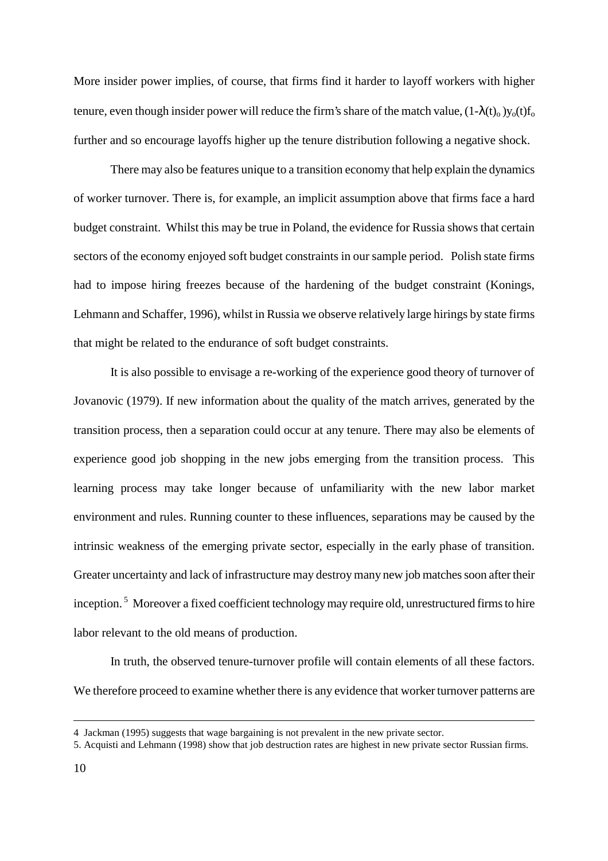More insider power implies, of course, that firms find it harder to layoff workers with higher tenure, even though insider power will reduce the firm's share of the match value,  $(1-\lambda(t_0)v_0(t)f_0(t_0)$ further and so encourage layoffs higher up the tenure distribution following a negative shock.

There may also be features unique to a transition economy that help explain the dynamics of worker turnover. There is, for example, an implicit assumption above that firms face a hard budget constraint. Whilst this may be true in Poland, the evidence for Russia shows that certain sectors of the economy enjoyed soft budget constraints in our sample period. Polish state firms had to impose hiring freezes because of the hardening of the budget constraint (Konings, Lehmann and Schaffer, 1996), whilst in Russia we observe relatively large hirings by state firms that might be related to the endurance of soft budget constraints.

It is also possible to envisage a re-working of the experience good theory of turnover of Jovanovic (1979). If new information about the quality of the match arrives, generated by the transition process, then a separation could occur at any tenure. There may also be elements of experience good job shopping in the new jobs emerging from the transition process. This learning process may take longer because of unfamiliarity with the new labor market environment and rules. Running counter to these influences, separations may be caused by the intrinsic weakness of the emerging private sector, especially in the early phase of transition. Greater uncertainty and lack of infrastructure may destroy many new job matches soon after their inception.<sup>5</sup> Moreover a fixed coefficient technology may require old, unrestructured firms to hire labor relevant to the old means of production.

In truth, the observed tenure-turnover profile will contain elements of all these factors. We therefore proceed to examine whether there is any evidence that worker turnover patterns are

<sup>4</sup> Jackman (1995) suggests that wage bargaining is not prevalent in the new private sector.

<sup>5.</sup> Acquisti and Lehmann (1998) show that job destruction rates are highest in new private sector Russian firms.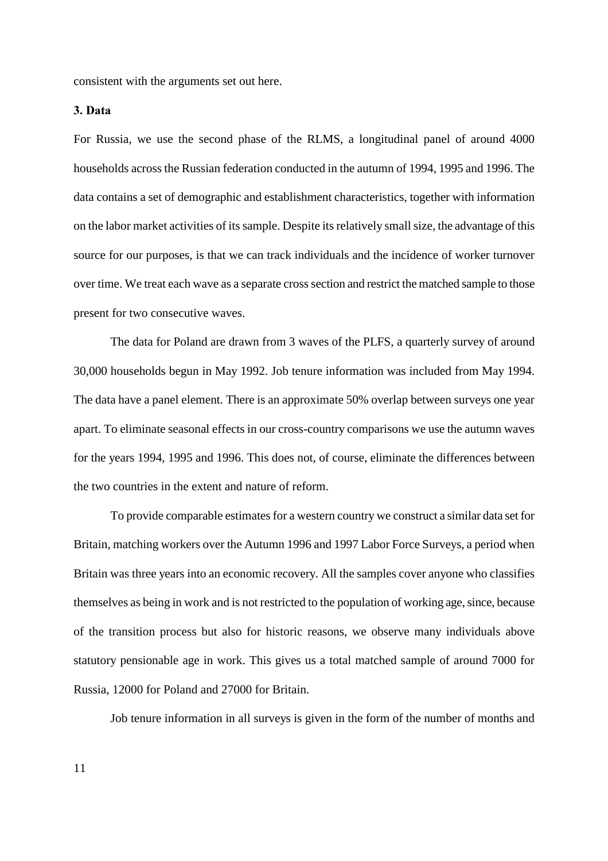consistent with the arguments set out here.

#### 3. Data

For Russia, we use the second phase of the RLMS, a longitudinal panel of around 4000 households across the Russian federation conducted in the autumn of 1994, 1995 and 1996. The data contains a set of demographic and establishment characteristics, together with information on the labor market activities of its sample. Despite its relatively small size, the advantage of this source for our purposes, is that we can track individuals and the incidence of worker turnover over time. We treat each wave as a separate cross section and restrict the matched sample to those present for two consecutive waves.

The data for Poland are drawn from 3 waves of the PLFS, a quarterly survey of around 30,000 households begun in May 1992. Job tenure information was included from May 1994. The data have a panel element. There is an approximate 50% overlap between surveys one year apart. To eliminate seasonal effects in our cross-country comparisons we use the autumn waves for the years 1994, 1995 and 1996. This does not, of course, eliminate the differences between the two countries in the extent and nature of reform.

To provide comparable estimates for a western country we construct a similar data set for Britain, matching workers over the Autumn 1996 and 1997 Labor Force Surveys, a period when Britain was three years into an economic recovery. All the samples cover anyone who classifies themselves as being in work and is not restricted to the population of working age, since, because of the transition process but also for historic reasons, we observe many individuals above statutory pensionable age in work. This gives us a total matched sample of around 7000 for Russia, 12000 for Poland and 27000 for Britain.

Job tenure information in all surveys is given in the form of the number of months and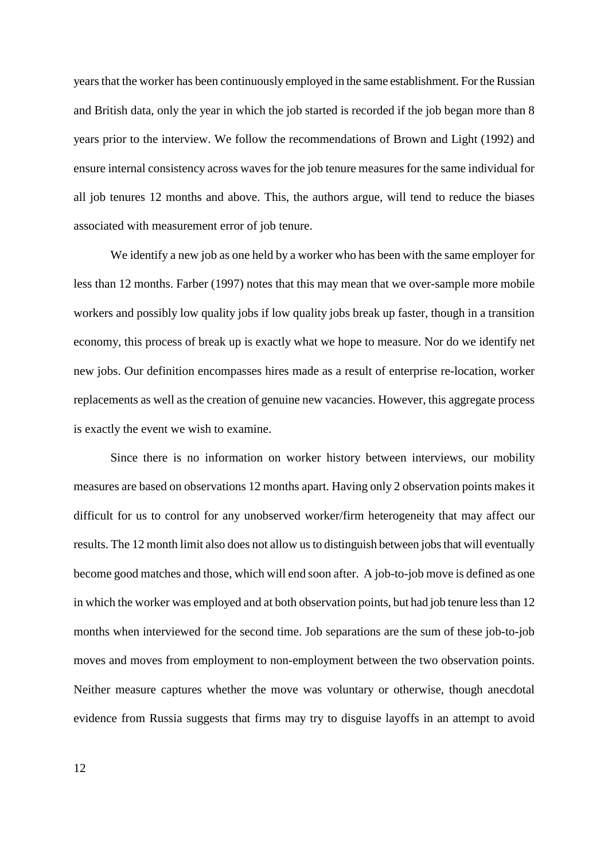years that the worker has been continuously employed in the same establishment. For the Russian and British data, only the year in which the job started is recorded if the job began more than 8 years prior to the interview. We follow the recommendations of Brown and Light (1992) and ensure internal consistency across waves for the job tenure measures for the same individual for all job tenures 12 months and above. This, the authors argue, will tend to reduce the biases associated with measurement error of job tenure.

We identify a new job as one held by a worker who has been with the same employer for less than 12 months. Farber (1997) notes that this may mean that we over-sample more mobile workers and possibly low quality jobs if low quality jobs break up faster, though in a transition economy, this process of break up is exactly what we hope to measure. Nor do we identify net new jobs. Our definition encompasses hires made as a result of enterprise re-location, worker replacements as well as the creation of genuine new vacancies. However, this aggregate process is exactly the event we wish to examine.

Since there is no information on worker history between interviews, our mobility measures are based on observations 12 months apart. Having only 2 observation points makes it difficult for us to control for any unobserved worker/firm heterogeneity that may affect our results. The 12 month limit also does not allow us to distinguish between jobs that will eventually become good matches and those, which will end soon after. A job-to-job move is defined as one in which the worker was employed and at both observation points, but had job tenure less than 12 months when interviewed for the second time. Job separations are the sum of these job-to-job moves and moves from employment to non-employment between the two observation points. Neither measure captures whether the move was voluntary or otherwise, though anecdotal evidence from Russia suggests that firms may try to disguise layoffs in an attempt to avoid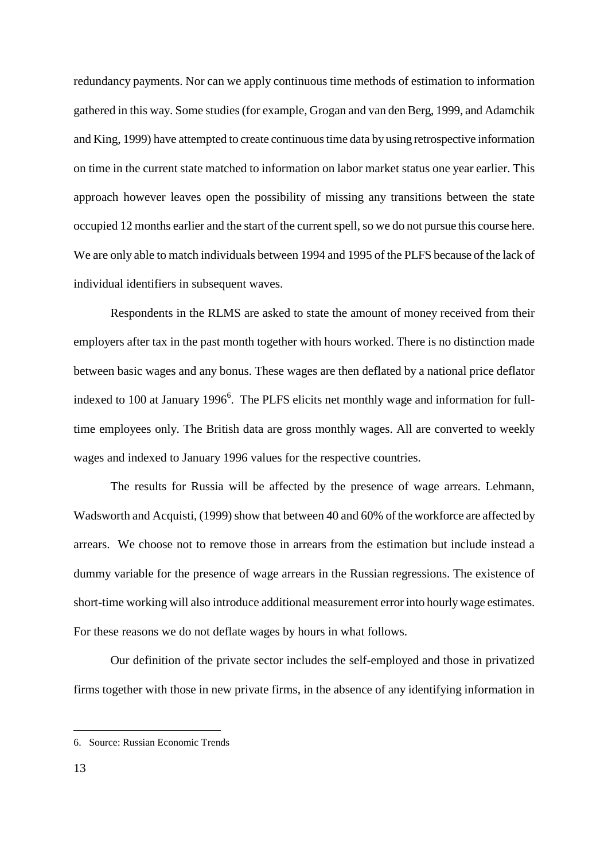redundancy payments. Nor can we apply continuous time methods of estimation to information gathered in this way. Some studies (for example, Grogan and van den Berg, 1999, and Adamchik and King, 1999) have attempted to create continuous time data by using retrospective information on time in the current state matched to information on labor market status one year earlier. This approach however leaves open the possibility of missing any transitions between the state occupied 12 months earlier and the start of the current spell, so we do not pursue this course here. We are only able to match individuals between 1994 and 1995 of the PLFS because of the lack of individual identifiers in subsequent waves.

Respondents in the RLMS are asked to state the amount of money received from their employers after tax in the past month together with hours worked. There is no distinction made between basic wages and any bonus. These wages are then deflated by a national price deflator indexed to 100 at January 1996<sup>6</sup>. The PLFS elicits net monthly wage and information for fulltime employees only. The British data are gross monthly wages. All are converted to weekly wages and indexed to January 1996 values for the respective countries.

The results for Russia will be affected by the presence of wage arrears. Lehmann, Wadsworth and Acquisti, (1999) show that between 40 and 60% of the workforce are affected by arrears. We choose not to remove those in arrears from the estimation but include instead a dummy variable for the presence of wage arrears in the Russian regressions. The existence of short-time working will also introduce additional measurement error into hourly wage estimates. For these reasons we do not deflate wages by hours in what follows.

Our definition of the private sector includes the self-employed and those in privatized firms together with those in new private firms, in the absence of any identifying information in

<sup>6.</sup> Source: Russian Economic Trends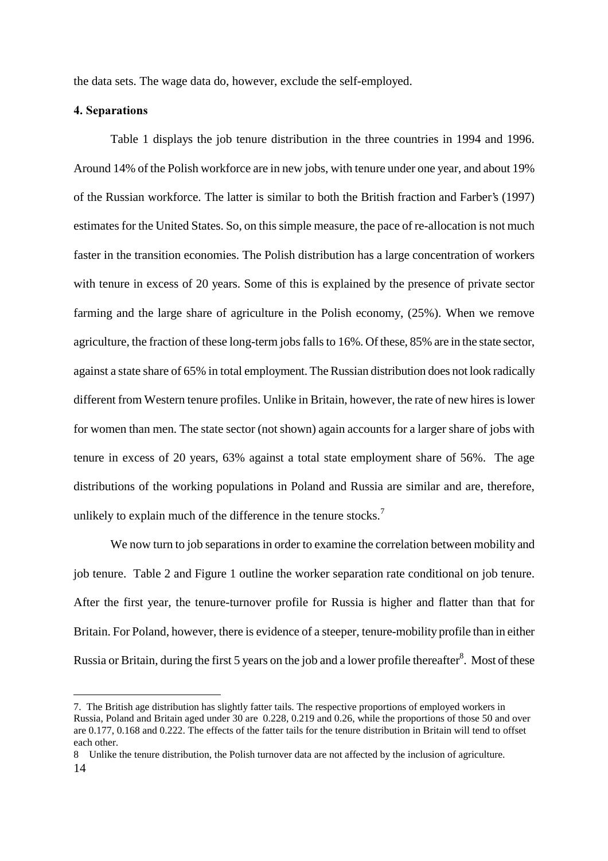the data sets. The wage data do, however, exclude the self-employed.

#### 4. Separations

 $\overline{a}$ 

Table 1 displays the job tenure distribution in the three countries in 1994 and 1996. Around 14% of the Polish workforce are in new jobs, with tenure under one year, and about 19% of the Russian workforce. The latter is similar to both the British fraction and Farber's (1997) estimates for the United States. So, on this simple measure, the pace of re-allocation is not much faster in the transition economies. The Polish distribution has a large concentration of workers with tenure in excess of 20 years. Some of this is explained by the presence of private sector farming and the large share of agriculture in the Polish economy, (25%). When we remove agriculture, the fraction of these long-term jobs falls to 16%. Of these, 85% are in the state sector, against a state share of 65% in total employment. The Russian distribution does not look radically different from Western tenure profiles. Unlike in Britain, however, the rate of new hires is lower for women than men. The state sector (not shown) again accounts for a larger share of jobs with tenure in excess of 20 years, 63% against a total state employment share of 56%. The age distributions of the working populations in Poland and Russia are similar and are, therefore, unlikely to explain much of the difference in the tenure stocks.<sup>7</sup>

We now turn to job separations in order to examine the correlation between mobility and job tenure. Table 2 and Figure 1 outline the worker separation rate conditional on job tenure. After the first year, the tenure-turnover profile for Russia is higher and flatter than that for Britain. For Poland, however, there is evidence of a steeper, tenure-mobility profile than in either Russia or Britain, during the first 5 years on the job and a lower profile thereafter $^8$ . Most of these

<sup>7.</sup> The British age distribution has slightly fatter tails. The respective proportions of employed workers in Russia, Poland and Britain aged under 30 are 0.228, 0.219 and 0.26, while the proportions of those 50 and over are 0.177, 0.168 and 0.222. The effects of the fatter tails for the tenure distribution in Britain will tend to offset each other.

<sup>14</sup>  8 Unlike the tenure distribution, the Polish turnover data are not affected by the inclusion of agriculture.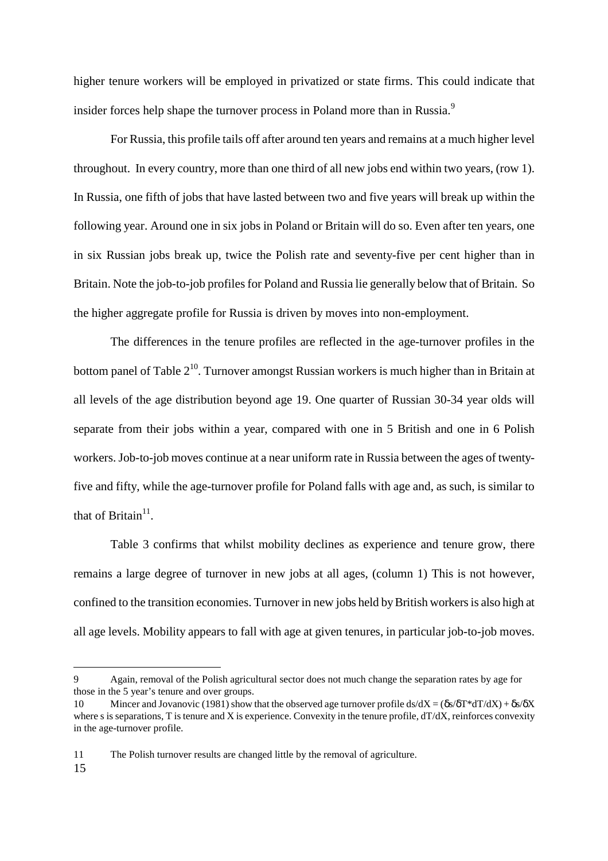higher tenure workers will be employed in privatized or state firms. This could indicate that insider forces help shape the turnover process in Poland more than in Russia.<sup>9</sup>

For Russia, this profile tails off after around ten years and remains at a much higher level throughout. In every country, more than one third of all new jobs end within two years, (row 1). In Russia, one fifth of jobs that have lasted between two and five years will break up within the following year. Around one in six jobs in Poland or Britain will do so. Even after ten years, one in six Russian jobs break up, twice the Polish rate and seventy-five per cent higher than in Britain. Note the job-to-job profiles for Poland and Russia lie generally below that of Britain. So the higher aggregate profile for Russia is driven by moves into non-employment.

The differences in the tenure profiles are reflected in the age-turnover profiles in the bottom panel of Table  $2^{10}$ . Turnover amongst Russian workers is much higher than in Britain at all levels of the age distribution beyond age 19. One quarter of Russian 30-34 year olds will separate from their jobs within a year, compared with one in 5 British and one in 6 Polish workers. Job-to-job moves continue at a near uniform rate in Russia between the ages of twentyfive and fifty, while the age-turnover profile for Poland falls with age and, as such, is similar to that of Britain $11$ .

Table 3 confirms that whilst mobility declines as experience and tenure grow, there remains a large degree of turnover in new jobs at all ages, (column 1) This is not however, confined to the transition economies. Turnover in new jobs held by British workers is also high at all age levels. Mobility appears to fall with age at given tenures, in particular job-to-job moves.

<sup>9</sup> Again, removal of the Polish agricultural sector does not much change the separation rates by age for those in the 5 year's tenure and over groups.

<sup>10</sup> Mincer and Jovanovic (1981) show that the observed age turnover profile ds/dX =  $(\delta s/\delta T * dT/dX) + \delta s/\delta X$ where s is separations, T is tenure and X is experience. Convexity in the tenure profile,  $dT/dX$ , reinforces convexity in the age-turnover profile.

<sup>15</sup>  11 The Polish turnover results are changed little by the removal of agriculture.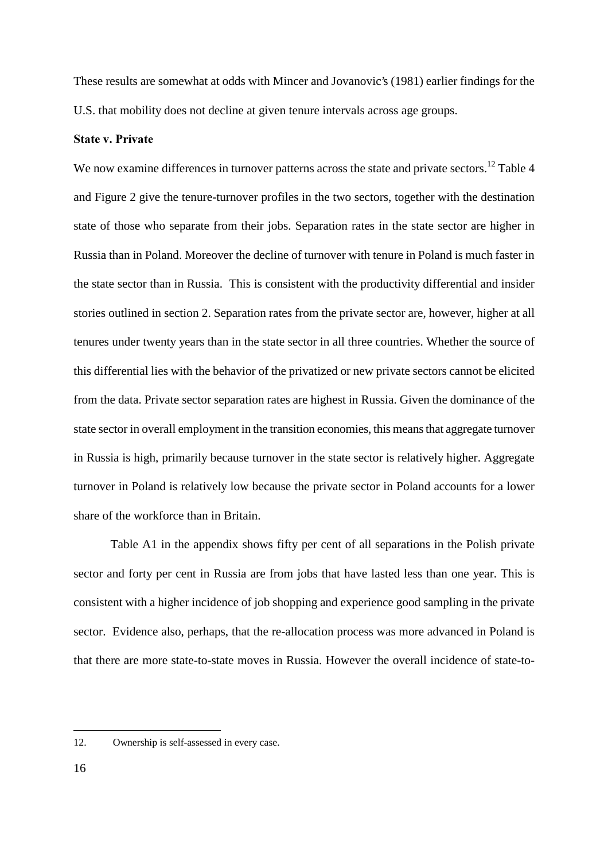These results are somewhat at odds with Mincer and Jovanovic's (1981) earlier findings for the U.S. that mobility does not decline at given tenure intervals across age groups.

#### **State v. Private**

We now examine differences in turnover patterns across the state and private sectors.<sup>12</sup> Table 4 and Figure 2 give the tenure-turnover profiles in the two sectors, together with the destination state of those who separate from their jobs. Separation rates in the state sector are higher in Russia than in Poland. Moreover the decline of turnover with tenure in Poland is much faster in the state sector than in Russia. This is consistent with the productivity differential and insider stories outlined in section 2. Separation rates from the private sector are, however, higher at all tenures under twenty years than in the state sector in all three countries. Whether the source of this differential lies with the behavior of the privatized or new private sectors cannot be elicited from the data. Private sector separation rates are highest in Russia. Given the dominance of the state sector in overall employment in the transition economies, this means that aggregate turnover in Russia is high, primarily because turnover in the state sector is relatively higher. Aggregate turnover in Poland is relatively low because the private sector in Poland accounts for a lower share of the workforce than in Britain.

Table A1 in the appendix shows fifty per cent of all separations in the Polish private sector and forty per cent in Russia are from jobs that have lasted less than one year. This is consistent with a higher incidence of job shopping and experience good sampling in the private sector. Evidence also, perhaps, that the re-allocation process was more advanced in Poland is that there are more state-to-state moves in Russia. However the overall incidence of state-to-

<sup>12.</sup> Ownership is self-assessed in every case.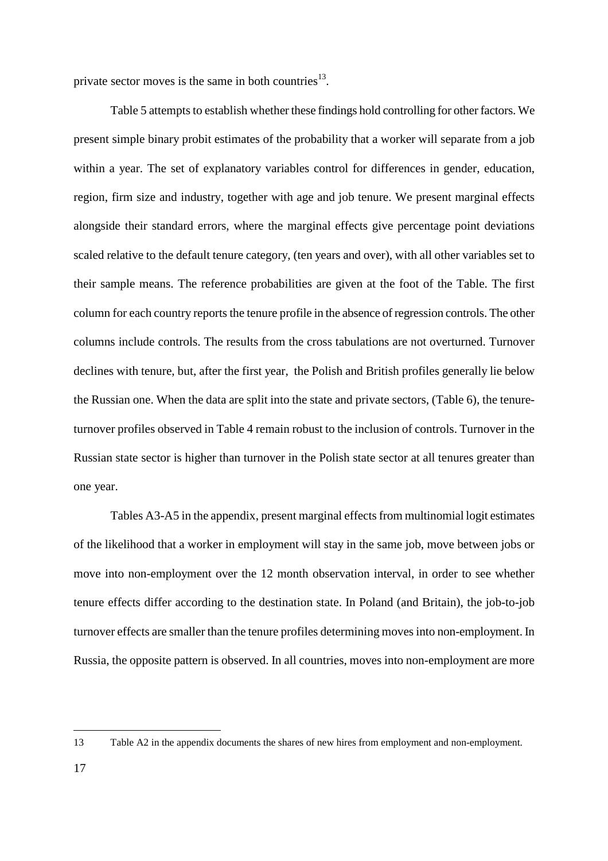private sector moves is the same in both countries<sup>13</sup>.

Table 5 attempts to establish whether these findings hold controlling for other factors. We present simple binary probit estimates of the probability that a worker will separate from a job within a year. The set of explanatory variables control for differences in gender, education, region, firm size and industry, together with age and job tenure. We present marginal effects alongside their standard errors, where the marginal effects give percentage point deviations scaled relative to the default tenure category, (ten years and over), with all other variables set to their sample means. The reference probabilities are given at the foot of the Table. The first column for each country reports the tenure profile in the absence of regression controls. The other columns include controls. The results from the cross tabulations are not overturned. Turnover declines with tenure, but, after the first year, the Polish and British profiles generally lie below the Russian one. When the data are split into the state and private sectors, (Table 6), the tenureturnover profiles observed in Table 4 remain robust to the inclusion of controls. Turnover in the Russian state sector is higher than turnover in the Polish state sector at all tenures greater than one year.

Tables A3-A5 in the appendix, present marginal effects from multinomial logit estimates of the likelihood that a worker in employment will stay in the same job, move between jobs or move into non-employment over the 12 month observation interval, in order to see whether tenure effects differ according to the destination state. In Poland (and Britain), the job-to-job turnover effects are smaller than the tenure profiles determining moves into non-employment. In Russia, the opposite pattern is observed. In all countries, moves into non-employment are more

<sup>13</sup> Table A2 in the appendix documents the shares of new hires from employment and non-employment.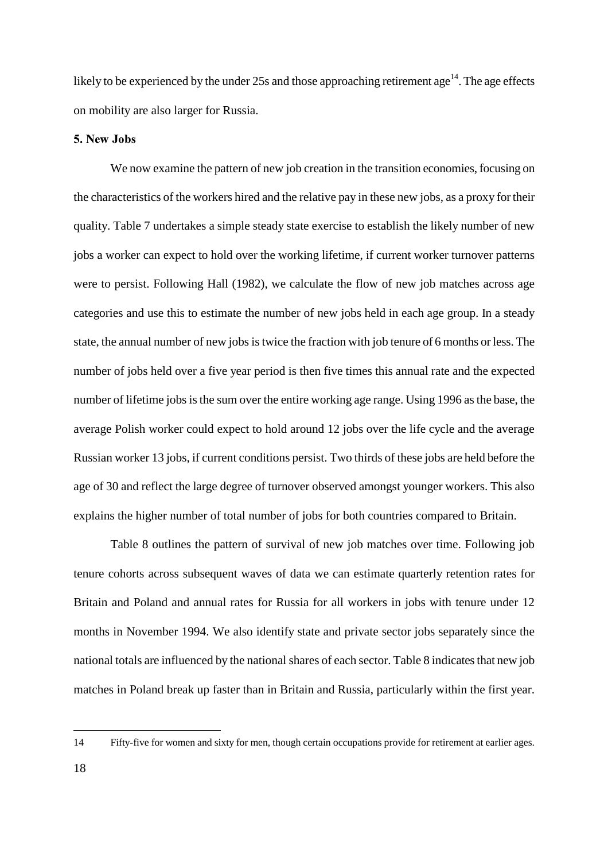likely to be experienced by the under 25s and those approaching retirement age<sup>14</sup>. The age effects on mobility are also larger for Russia.

#### 5. New Jobs

We now examine the pattern of new job creation in the transition economies, focusing on the characteristics of the workers hired and the relative pay in these new jobs, as a proxy for their quality. Table 7 undertakes a simple steady state exercise to establish the likely number of new jobs a worker can expect to hold over the working lifetime, if current worker turnover patterns were to persist. Following Hall (1982), we calculate the flow of new job matches across age categories and use this to estimate the number of new jobs held in each age group. In a steady state, the annual number of new jobs is twice the fraction with job tenure of 6 months or less. The number of jobs held over a five year period is then five times this annual rate and the expected number of lifetime jobs is the sum over the entire working age range. Using 1996 as the base, the average Polish worker could expect to hold around 12 jobs over the life cycle and the average Russian worker 13 jobs, if current conditions persist. Two thirds of these jobs are held before the age of 30 and reflect the large degree of turnover observed amongst younger workers. This also explains the higher number of total number of jobs for both countries compared to Britain.

Table 8 outlines the pattern of survival of new job matches over time. Following job tenure cohorts across subsequent waves of data we can estimate quarterly retention rates for Britain and Poland and annual rates for Russia for all workers in jobs with tenure under 12 months in November 1994. We also identify state and private sector jobs separately since the national totals are influenced by the national shares of each sector. Table 8 indicates that new job matches in Poland break up faster than in Britain and Russia, particularly within the first year.

<sup>14</sup> Fifty-five for women and sixty for men, though certain occupations provide for retirement at earlier ages.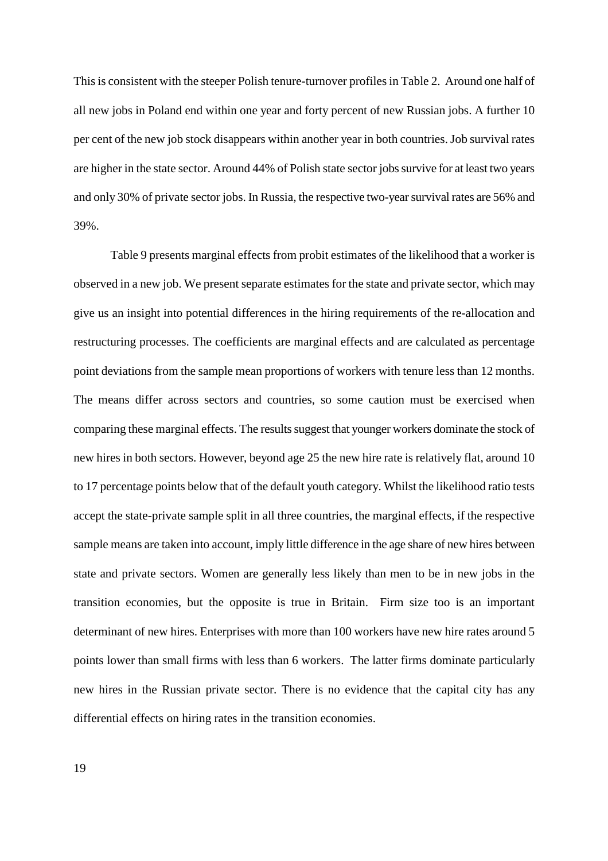This is consistent with the steeper Polish tenure-turnover profiles in Table 2. Around one half of all new jobs in Poland end within one year and forty percent of new Russian jobs. A further 10 per cent of the new job stock disappears within another year in both countries. Job survival rates are higher in the state sector. Around 44% of Polish state sector jobs survive for at least two years and only 30% of private sector jobs. In Russia, the respective two-year survival rates are 56% and 39%.

Table 9 presents marginal effects from probit estimates of the likelihood that a worker is observed in a new job. We present separate estimates for the state and private sector, which may give us an insight into potential differences in the hiring requirements of the re-allocation and restructuring processes. The coefficients are marginal effects and are calculated as percentage point deviations from the sample mean proportions of workers with tenure less than 12 months. The means differ across sectors and countries, so some caution must be exercised when comparing these marginal effects. The results suggest that younger workers dominate the stock of new hires in both sectors. However, beyond age 25 the new hire rate is relatively flat, around 10 to 17 percentage points below that of the default youth category. Whilst the likelihood ratio tests accept the state-private sample split in all three countries, the marginal effects, if the respective sample means are taken into account, imply little difference in the age share of new hires between state and private sectors. Women are generally less likely than men to be in new jobs in the transition economies, but the opposite is true in Britain. Firm size too is an important determinant of new hires. Enterprises with more than 100 workers have new hire rates around 5 points lower than small firms with less than 6 workers. The latter firms dominate particularly new hires in the Russian private sector. There is no evidence that the capital city has any differential effects on hiring rates in the transition economies.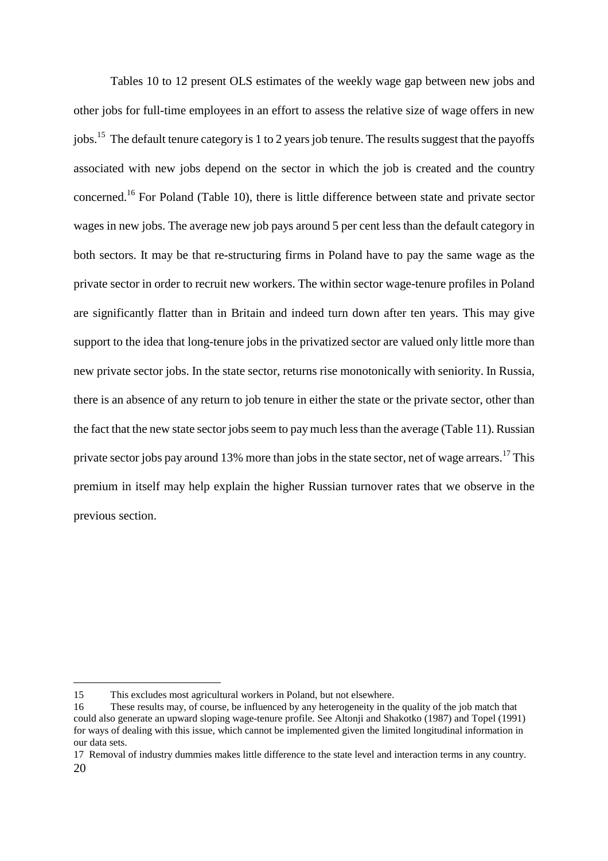Tables 10 to 12 present OLS estimates of the weekly wage gap between new jobs and other jobs for full-time employees in an effort to assess the relative size of wage offers in new jobs.<sup>15</sup> The default tenure category is 1 to 2 years job tenure. The results suggest that the payoffs associated with new jobs depend on the sector in which the job is created and the country concerned.16 For Poland (Table 10), there is little difference between state and private sector wages in new jobs. The average new job pays around 5 per cent less than the default category in both sectors. It may be that re-structuring firms in Poland have to pay the same wage as the private sector in order to recruit new workers. The within sector wage-tenure profiles in Poland are significantly flatter than in Britain and indeed turn down after ten years. This may give support to the idea that long-tenure jobs in the privatized sector are valued only little more than new private sector jobs. In the state sector, returns rise monotonically with seniority. In Russia, there is an absence of any return to job tenure in either the state or the private sector, other than the fact that the new state sector jobs seem to pay much less than the average (Table 11). Russian private sector jobs pay around 13% more than jobs in the state sector, net of wage arrears.<sup>17</sup> This premium in itself may help explain the higher Russian turnover rates that we observe in the previous section.

<sup>15</sup> This excludes most agricultural workers in Poland, but not elsewhere.

<sup>16</sup> These results may, of course, be influenced by any heterogeneity in the quality of the job match that could also generate an upward sloping wage-tenure profile. See Altonji and Shakotko (1987) and Topel (1991) for ways of dealing with this issue, which cannot be implemented given the limited longitudinal information in our data sets.

<sup>20</sup>  17 Removal of industry dummies makes little difference to the state level and interaction terms in any country.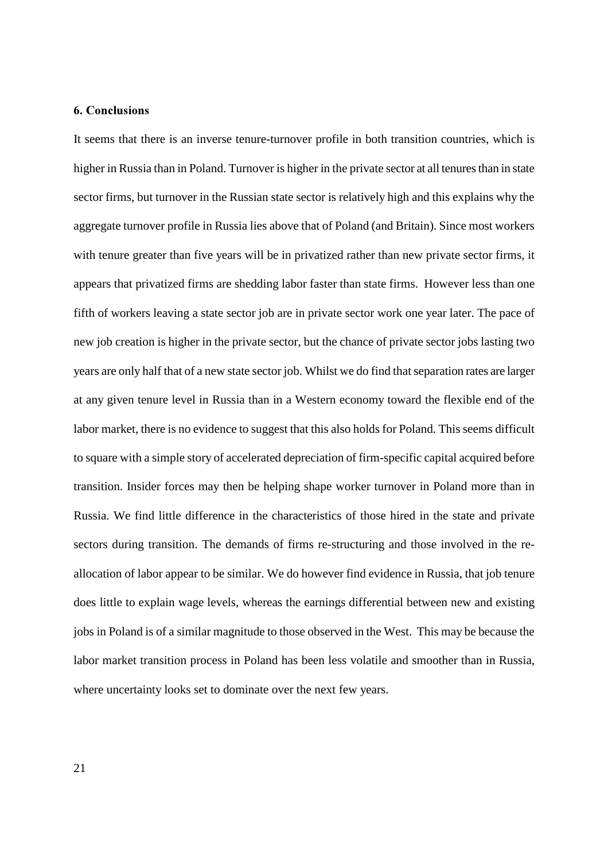#### 6. Conclusions

It seems that there is an inverse tenure-turnover profile in both transition countries, which is higher in Russia than in Poland. Turnover is higher in the private sector at all tenures than in state sector firms, but turnover in the Russian state sector is relatively high and this explains why the aggregate turnover profile in Russia lies above that of Poland (and Britain). Since most workers with tenure greater than five years will be in privatized rather than new private sector firms, it appears that privatized firms are shedding labor faster than state firms. However less than one fifth of workers leaving a state sector job are in private sector work one year later. The pace of new job creation is higher in the private sector, but the chance of private sector jobs lasting two years are only half that of a new state sector job. Whilst we do find that separation rates are larger at any given tenure level in Russia than in a Western economy toward the flexible end of the labor market, there is no evidence to suggest that this also holds for Poland. This seems difficult to square with a simple story of accelerated depreciation of firm-specific capital acquired before transition. Insider forces may then be helping shape worker turnover in Poland more than in Russia. We find little difference in the characteristics of those hired in the state and private sectors during transition. The demands of firms re-structuring and those involved in the reallocation of labor appear to be similar. We do however find evidence in Russia, that job tenure does little to explain wage levels, whereas the earnings differential between new and existing jobs in Poland is of a similar magnitude to those observed in the West. This may be because the labor market transition process in Poland has been less volatile and smoother than in Russia, where uncertainty looks set to dominate over the next few years.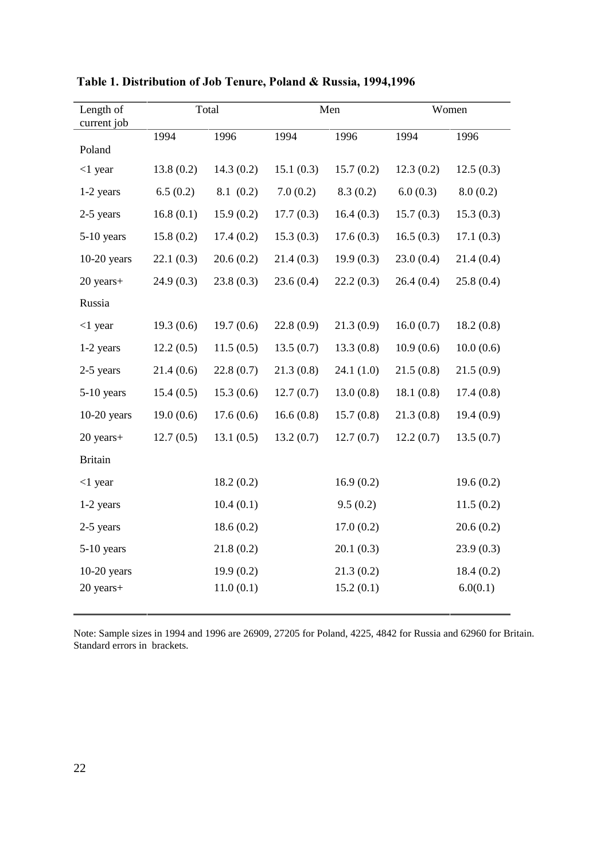| Length of<br>current job | Total     |           |           | Men       |           | Women     |
|--------------------------|-----------|-----------|-----------|-----------|-----------|-----------|
|                          | 1994      | 1996      | 1994      | 1996      | 1994      | 1996      |
| Poland                   |           |           |           |           |           |           |
| $<$ 1 year               | 13.8(0.2) | 14.3(0.2) | 15.1(0.3) | 15.7(0.2) | 12.3(0.2) | 12.5(0.3) |
| 1-2 years                | 6.5(0.2)  | 8.1(0.2)  | 7.0(0.2)  | 8.3(0.2)  | 6.0(0.3)  | 8.0(0.2)  |
| 2-5 years                | 16.8(0.1) | 15.9(0.2) | 17.7(0.3) | 16.4(0.3) | 15.7(0.3) | 15.3(0.3) |
| $5-10$ years             | 15.8(0.2) | 17.4(0.2) | 15.3(0.3) | 17.6(0.3) | 16.5(0.3) | 17.1(0.3) |
| $10-20$ years            | 22.1(0.3) | 20.6(0.2) | 21.4(0.3) | 19.9(0.3) | 23.0(0.4) | 21.4(0.4) |
| 20 years+                | 24.9(0.3) | 23.8(0.3) | 23.6(0.4) | 22.2(0.3) | 26.4(0.4) | 25.8(0.4) |
| Russia                   |           |           |           |           |           |           |
| $<$ 1 year               | 19.3(0.6) | 19.7(0.6) | 22.8(0.9) | 21.3(0.9) | 16.0(0.7) | 18.2(0.8) |
| 1-2 years                | 12.2(0.5) | 11.5(0.5) | 13.5(0.7) | 13.3(0.8) | 10.9(0.6) | 10.0(0.6) |
| 2-5 years                | 21.4(0.6) | 22.8(0.7) | 21.3(0.8) | 24.1(1.0) | 21.5(0.8) | 21.5(0.9) |
| $5-10$ years             | 15.4(0.5) | 15.3(0.6) | 12.7(0.7) | 13.0(0.8) | 18.1(0.8) | 17.4(0.8) |
| $10-20$ years            | 19.0(0.6) | 17.6(0.6) | 16.6(0.8) | 15.7(0.8) | 21.3(0.8) | 19.4(0.9) |
| 20 years+                | 12.7(0.5) | 13.1(0.5) | 13.2(0.7) | 12.7(0.7) | 12.2(0.7) | 13.5(0.7) |
| <b>Britain</b>           |           |           |           |           |           |           |
| $<1$ year                |           | 18.2(0.2) |           | 16.9(0.2) |           | 19.6(0.2) |
| 1-2 years                |           | 10.4(0.1) |           | 9.5(0.2)  |           | 11.5(0.2) |
| 2-5 years                |           | 18.6(0.2) |           | 17.0(0.2) |           | 20.6(0.2) |
| $5-10$ years             |           | 21.8(0.2) |           | 20.1(0.3) |           | 23.9(0.3) |
| $10-20$ years            |           | 19.9(0.2) |           | 21.3(0.2) |           | 18.4(0.2) |
| 20 years+                |           | 11.0(0.1) |           | 15.2(0.1) |           | 6.0(0.1)  |

Table 1. Distribution of Job Tenure, Poland & Russia, 1994,1996

Note: Sample sizes in 1994 and 1996 are 26909, 27205 for Poland, 4225, 4842 for Russia and 62960 for Britain. Standard errors in brackets.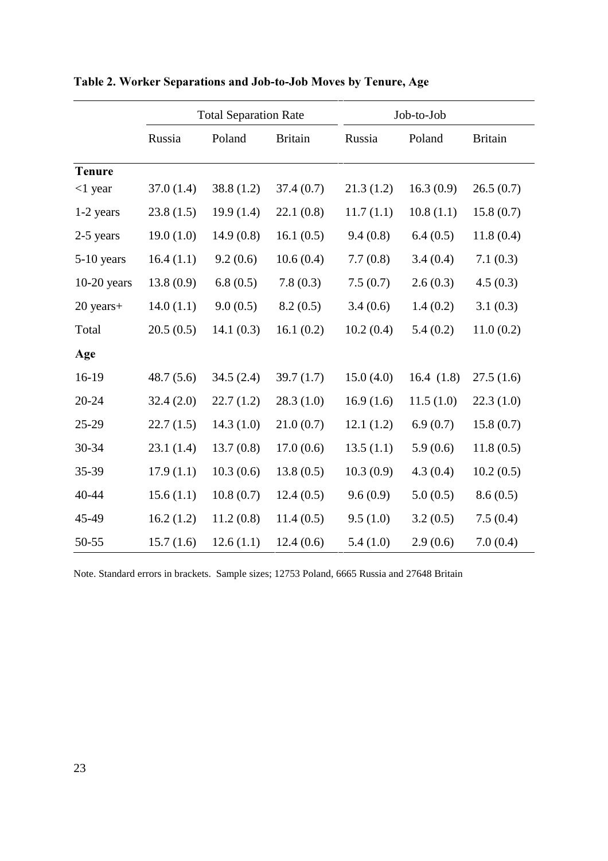|               |           | <b>Total Separation Rate</b> |                | Job-to-Job |           |                |
|---------------|-----------|------------------------------|----------------|------------|-----------|----------------|
|               | Russia    | Poland                       | <b>Britain</b> | Russia     | Poland    | <b>Britain</b> |
| <b>Tenure</b> |           |                              |                |            |           |                |
| $<$ 1 year    | 37.0(1.4) | 38.8(1.2)                    | 37.4(0.7)      | 21.3(1.2)  | 16.3(0.9) | 26.5(0.7)      |
| $1-2$ years   | 23.8(1.5) | 19.9(1.4)                    | 22.1(0.8)      | 11.7(1.1)  | 10.8(1.1) | 15.8(0.7)      |
| 2-5 years     | 19.0(1.0) | 14.9(0.8)                    | 16.1(0.5)      | 9.4(0.8)   | 6.4(0.5)  | 11.8(0.4)      |
| $5-10$ years  | 16.4(1.1) | 9.2(0.6)                     | 10.6(0.4)      | 7.7(0.8)   | 3.4(0.4)  | 7.1(0.3)       |
| $10-20$ years | 13.8(0.9) | 6.8(0.5)                     | 7.8(0.3)       | 7.5(0.7)   | 2.6(0.3)  | 4.5(0.3)       |
| 20 years+     | 14.0(1.1) | 9.0(0.5)                     | 8.2(0.5)       | 3.4(0.6)   | 1.4(0.2)  | 3.1(0.3)       |
| Total         | 20.5(0.5) | 14.1(0.3)                    | 16.1(0.2)      | 10.2(0.4)  | 5.4(0.2)  | 11.0(0.2)      |
| Age           |           |                              |                |            |           |                |
| 16-19         | 48.7(5.6) | 34.5(2.4)                    | 39.7(1.7)      | 15.0(4.0)  | 16.4(1.8) | 27.5(1.6)      |
| $20 - 24$     | 32.4(2.0) | 22.7(1.2)                    | 28.3(1.0)      | 16.9(1.6)  | 11.5(1.0) | 22.3(1.0)      |
| 25-29         | 22.7(1.5) | 14.3(1.0)                    | 21.0(0.7)      | 12.1(1.2)  | 6.9(0.7)  | 15.8(0.7)      |
| 30-34         | 23.1(1.4) | 13.7(0.8)                    | 17.0(0.6)      | 13.5(1.1)  | 5.9(0.6)  | 11.8(0.5)      |
| 35-39         | 17.9(1.1) | 10.3(0.6)                    | 13.8(0.5)      | 10.3(0.9)  | 4.3(0.4)  | 10.2(0.5)      |
| 40-44         | 15.6(1.1) | 10.8(0.7)                    | 12.4(0.5)      | 9.6(0.9)   | 5.0(0.5)  | 8.6(0.5)       |
| 45-49         | 16.2(1.2) | 11.2(0.8)                    | 11.4(0.5)      | 9.5(1.0)   | 3.2(0.5)  | 7.5(0.4)       |
| 50-55         | 15.7(1.6) | 12.6(1.1)                    | 12.4(0.6)      | 5.4(1.0)   | 2.9(0.6)  | 7.0(0.4)       |

Table 2. Worker Separations and Job-to-Job Moves by Tenure, Age

Note. Standard errors in brackets. Sample sizes; 12753 Poland, 6665 Russia and 27648 Britain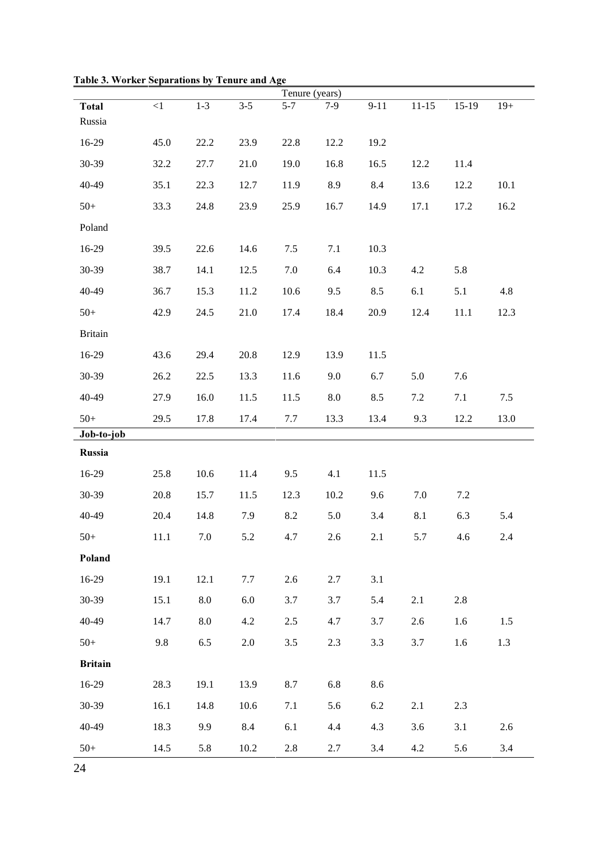|                |          |         |         | Tenure (years) |            |          |           |         |       |
|----------------|----------|---------|---------|----------------|------------|----------|-----------|---------|-------|
| <b>Total</b>   | $\leq$ 1 | $1 - 3$ | $3 - 5$ | $5 - 7$        | $7-9$      | $9 - 11$ | $11 - 15$ | $15-19$ | $19+$ |
| Russia         |          |         |         |                |            |          |           |         |       |
| 16-29          | 45.0     | 22.2    | 23.9    | 22.8           | 12.2       | 19.2     |           |         |       |
| 30-39          | 32.2     | 27.7    | 21.0    | 19.0           | 16.8       | 16.5     | 12.2      | 11.4    |       |
| 40-49          | 35.1     | 22.3    | 12.7    | 11.9           | 8.9        | 8.4      | 13.6      | 12.2    | 10.1  |
| $50+$          | 33.3     | 24.8    | 23.9    | 25.9           | 16.7       | 14.9     | 17.1      | 17.2    | 16.2  |
| Poland         |          |         |         |                |            |          |           |         |       |
| 16-29          | 39.5     | 22.6    | 14.6    | 7.5            | 7.1        | 10.3     |           |         |       |
| 30-39          | 38.7     | 14.1    | 12.5    | $7.0\,$        | 6.4        | 10.3     | 4.2       | 5.8     |       |
| 40-49          | 36.7     | 15.3    | 11.2    | 10.6           | 9.5        | 8.5      | 6.1       | 5.1     | 4.8   |
| $50+$          | 42.9     | 24.5    | 21.0    | 17.4           | 18.4       | 20.9     | 12.4      | 11.1    | 12.3  |
| <b>Britain</b> |          |         |         |                |            |          |           |         |       |
| 16-29          | 43.6     | 29.4    | 20.8    | 12.9           | 13.9       | 11.5     |           |         |       |
| 30-39          | 26.2     | 22.5    | 13.3    | 11.6           | 9.0        | 6.7      | 5.0       | 7.6     |       |
| 40-49          | 27.9     | 16.0    | 11.5    | 11.5           | $\ \, 8.0$ | 8.5      | 7.2       | 7.1     | 7.5   |
| $50+$          | 29.5     | 17.8    | 17.4    | 7.7            | 13.3       | 13.4     | 9.3       | 12.2    | 13.0  |
| Job-to-job     |          |         |         |                |            |          |           |         |       |
| Russia         |          |         |         |                |            |          |           |         |       |
| 16-29          | 25.8     | 10.6    | 11.4    | 9.5            | 4.1        | 11.5     |           |         |       |
| 30-39          | 20.8     | 15.7    | 11.5    | 12.3           | 10.2       | 9.6      | 7.0       | 7.2     |       |
| 40-49          | 20.4     | 14.8    | 7.9     | 8.2            | 5.0        | 3.4      | 8.1       | 6.3     | 5.4   |
| $50+$          | 11.1     | $7.0\,$ | 5.2     | 4.7            | 2.6        | 2.1      | 5.7       | 4.6     | 2.4   |
| Poland         |          |         |         |                |            |          |           |         |       |
| 16-29          | 19.1     | 12.1    | 7.7     | 2.6            | 2.7        | 3.1      |           |         |       |
| 30-39          | 15.1     | $8.0\,$ | $6.0\,$ | 3.7            | 3.7        | 5.4      | 2.1       | 2.8     |       |
| 40-49          | 14.7     | 8.0     | 4.2     | 2.5            | 4.7        | 3.7      | 2.6       | 1.6     | 1.5   |
| $50+$          | 9.8      | 6.5     | $2.0\,$ | 3.5            | 2.3        | 3.3      | 3.7       | 1.6     | 1.3   |
| <b>Britain</b> |          |         |         |                |            |          |           |         |       |
| 16-29          | 28.3     | 19.1    | 13.9    | 8.7            | 6.8        | 8.6      |           |         |       |
| 30-39          | 16.1     | 14.8    | 10.6    | 7.1            | 5.6        | 6.2      | 2.1       | 2.3     |       |
| 40-49          | 18.3     | 9.9     | 8.4     | 6.1            | 4.4        | 4.3      | 3.6       | 3.1     | 2.6   |
| $50+$          | 14.5     | 5.8     | 10.2    | 2.8            | 2.7        | 3.4      | 4.2       | 5.6     | 3.4   |

Table 3. Worker Separations by Tenure and Age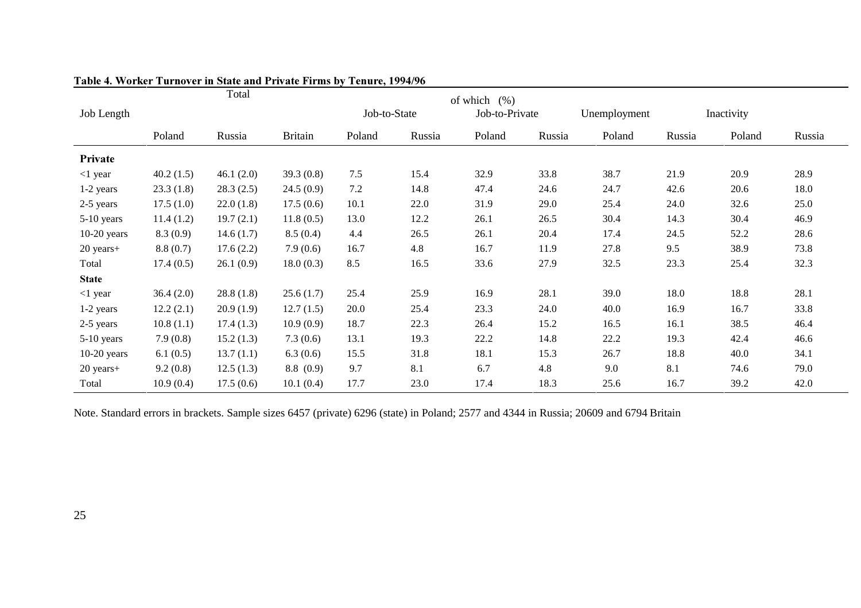|               |           | Total     |                |              |        | of which $(\%)$ |        |              |        |            |        |
|---------------|-----------|-----------|----------------|--------------|--------|-----------------|--------|--------------|--------|------------|--------|
| Job Length    |           |           |                | Job-to-State |        | Job-to-Private  |        | Unemployment |        | Inactivity |        |
|               | Poland    | Russia    | <b>Britain</b> | Poland       | Russia | Poland          | Russia | Poland       | Russia | Poland     | Russia |
| Private       |           |           |                |              |        |                 |        |              |        |            |        |
| $<$ 1 year    | 40.2(1.5) | 46.1(2.0) | 39.3(0.8)      | 7.5          | 15.4   | 32.9            | 33.8   | 38.7         | 21.9   | 20.9       | 28.9   |
| 1-2 years     | 23.3(1.8) | 28.3(2.5) | 24.5(0.9)      | 7.2          | 14.8   | 47.4            | 24.6   | 24.7         | 42.6   | 20.6       | 18.0   |
| 2-5 years     | 17.5(1.0) | 22.0(1.8) | 17.5(0.6)      | 10.1         | 22.0   | 31.9            | 29.0   | 25.4         | 24.0   | 32.6       | 25.0   |
| 5-10 years    | 11.4(1.2) | 19.7(2.1) | 11.8(0.5)      | 13.0         | 12.2   | 26.1            | 26.5   | 30.4         | 14.3   | 30.4       | 46.9   |
| $10-20$ years | 8.3(0.9)  | 14.6(1.7) | 8.5(0.4)       | 4.4          | 26.5   | 26.1            | 20.4   | 17.4         | 24.5   | 52.2       | 28.6   |
| $20$ years+   | 8.8(0.7)  | 17.6(2.2) | 7.9(0.6)       | 16.7         | 4.8    | 16.7            | 11.9   | 27.8         | 9.5    | 38.9       | 73.8   |
| Total         | 17.4(0.5) | 26.1(0.9) | 18.0(0.3)      | 8.5          | 16.5   | 33.6            | 27.9   | 32.5         | 23.3   | 25.4       | 32.3   |
| <b>State</b>  |           |           |                |              |        |                 |        |              |        |            |        |
| $<$ 1 year    | 36.4(2.0) | 28.8(1.8) | 25.6(1.7)      | 25.4         | 25.9   | 16.9            | 28.1   | 39.0         | 18.0   | 18.8       | 28.1   |
| 1-2 years     | 12.2(2.1) | 20.9(1.9) | 12.7(1.5)      | 20.0         | 25.4   | 23.3            | 24.0   | 40.0         | 16.9   | 16.7       | 33.8   |
| 2-5 years     | 10.8(1.1) | 17.4(1.3) | 10.9(0.9)      | 18.7         | 22.3   | 26.4            | 15.2   | 16.5         | 16.1   | 38.5       | 46.4   |
| 5-10 years    | 7.9(0.8)  | 15.2(1.3) | 7.3(0.6)       | 13.1         | 19.3   | 22.2            | 14.8   | 22.2         | 19.3   | 42.4       | 46.6   |
| $10-20$ years | 6.1(0.5)  | 13.7(1.1) | 6.3(0.6)       | 15.5         | 31.8   | 18.1            | 15.3   | 26.7         | 18.8   | 40.0       | 34.1   |
| 20 years+     | 9.2(0.8)  | 12.5(1.3) | 8.8(0.9)       | 9.7          | 8.1    | 6.7             | 4.8    | 9.0          | 8.1    | 74.6       | 79.0   |
| Total         | 10.9(0.4) | 17.5(0.6) | 10.1(0.4)      | 17.7         | 23.0   | 17.4            | 18.3   | 25.6         | 16.7   | 39.2       | 42.0   |

#### Table 4. Worker Turnover in State and Private Firms by Tenure, 1994/96

Note. Standard errors in brackets. Sample sizes 6457 (private) 6296 (state) in Poland; 2577 and 4344 in Russia; 20609 and 6794 Britain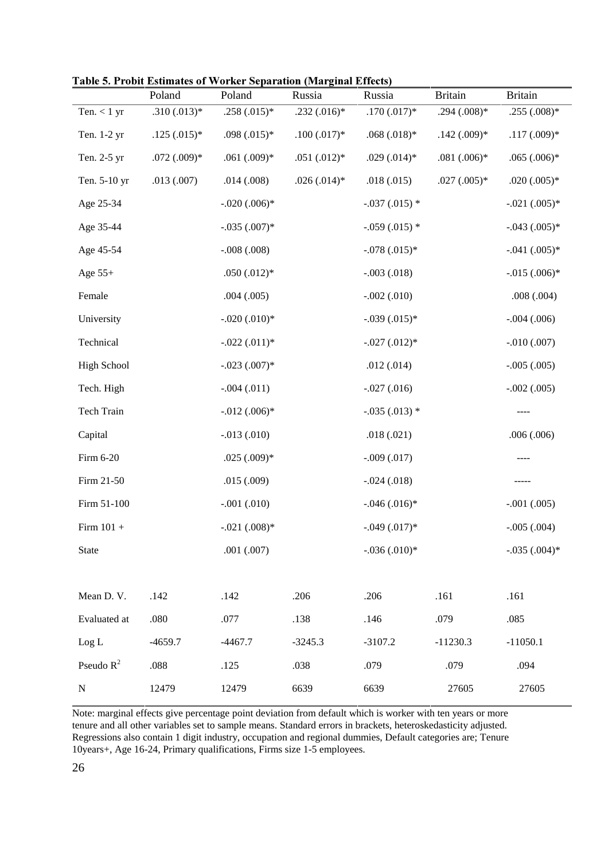| <b>Table 5. Probit Estimates of Worker Separation (Marginal Effects)</b> |  |
|--------------------------------------------------------------------------|--|
|--------------------------------------------------------------------------|--|

|                    | Poland        | $\mu$ . The standard of worker separation (biarginal effects)<br>Poland | Russia        | Russia          | <b>Britain</b> | <b>Britain</b> |
|--------------------|---------------|-------------------------------------------------------------------------|---------------|-----------------|----------------|----------------|
| Ten. $< 1$ yr      | $.310(.013)*$ | $.258(.015)*$                                                           | $.232(.016)*$ | $.170(.017)*$   | $.294(.008)*$  | $.255(.008)*$  |
| Ten. 1-2 yr        | $.125(.015)*$ | $.098(.015)*$                                                           | $.100(.017)*$ | $.068(.018)*$   | $.142(.009)*$  | $.117(.009)*$  |
| Ten. 2-5 yr        | $.072(.009)*$ | $.061(.009)*$                                                           | $.051(.012)*$ | $.029(.014)*$   | $.081(.006)*$  | $.065(.006)*$  |
| Ten. 5-10 yr       | .013(.007)    | .014(.008)                                                              | $.026(.014)*$ | .018(.015)      | $.027(.005)*$  | $.020(.005)*$  |
| Age 25-34          |               | $-.020(.006)*$                                                          |               | $-.037(.015)$ * |                | $-.021(.005)*$ |
| Age 35-44          |               | $-.035(.007)*$                                                          |               | $-.059(.015)$ * |                | $-.043(.005)*$ |
| Age 45-54          |               | $-.008(.008)$                                                           |               | $-.078(.015)*$  |                | $-.041(.005)*$ |
| Age $55+$          |               | $.050(.012)*$                                                           |               | $-.003(.018)$   |                | $-.015(.006)*$ |
| Female             |               | .004(.005)                                                              |               | $-.002(.010)$   |                | .008(.004)     |
| University         |               | $-.020(.010)*$                                                          |               | $-.039(.015)*$  |                | $-.004(.006)$  |
| Technical          |               | $-.022(.011)*$                                                          |               | $-.027(.012)*$  |                | $-.010(.007)$  |
| <b>High School</b> |               | $-.023(.007)*$                                                          |               | .012(.014)      |                | $-.005(.005)$  |
| Tech. High         |               | $-.004(.011)$                                                           |               | $-.027(.016)$   |                | $-.002(.005)$  |
| Tech Train         |               | $-.012(.006)*$                                                          |               | $-.035(.013)$ * |                | ----           |
| Capital            |               | $-.013(.010)$                                                           |               | .018(.021)      |                | .006(.006)     |
| Firm 6-20          |               | $.025(.009)*$                                                           |               | $-.009(.017)$   |                |                |
| Firm 21-50         |               | .015(.009)                                                              |               | $-.024(.018)$   |                |                |
| Firm 51-100        |               | $-.001(.010)$                                                           |               | $-.046(.016)*$  |                | $-.001(.005)$  |
| Firm $101 +$       |               | $-.021(.008)*$                                                          |               | $-.049(.017)*$  |                | $-.005(.004)$  |
| <b>State</b>       |               | .001(.007)                                                              |               | $-.036(.010)*$  |                | $-.035(.004)*$ |
|                    |               |                                                                         |               |                 |                |                |
| Mean D.V.          | .142          | .142                                                                    | .206          | .206            | .161           | .161           |
| Evaluated at       | .080          | .077                                                                    | .138          | .146            | .079           | .085           |
| Log L              | $-4659.7$     | $-4467.7$                                                               | $-3245.3$     | $-3107.2$       | $-11230.3$     | $-11050.1$     |
| Pseudo $R^2$       | .088          | .125                                                                    | .038          | .079            | .079           | .094           |
| ${\bf N}$          | 12479         | 12479                                                                   | 6639          | 6639            | 27605          | 27605          |

Note: marginal effects give percentage point deviation from default which is worker with ten years or more tenure and all other variables set to sample means. Standard errors in brackets, heteroskedasticity adjusted. Regressions also contain 1 digit industry, occupation and regional dummies, Default categories are; Tenure 10years+, Age 16-24, Primary qualifications, Firms size 1-5 employees.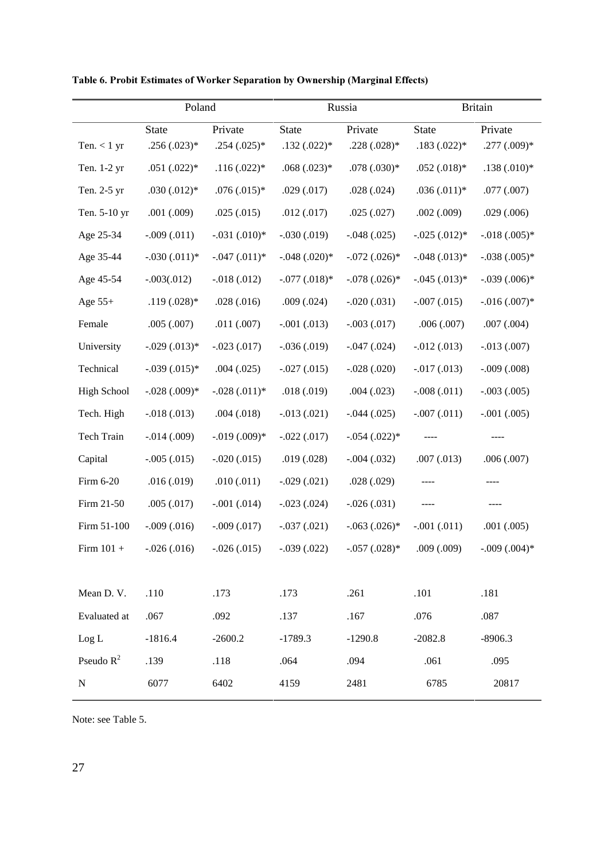|                    | Poland          |                 |                | Russia          | <b>Britain</b> |                 |  |
|--------------------|-----------------|-----------------|----------------|-----------------|----------------|-----------------|--|
|                    | <b>State</b>    | Private         | <b>State</b>   | Private         | <b>State</b>   | Private         |  |
| Ten. $< 1$ yr      | $.256(.023)*$   | $.254(.025)*$   | $.132(.022)*$  | $.228(.028)*$   | $.183(.022)*$  | $.277(.009)*$   |  |
| Ten. 1-2 yr        | $.051(.022)*$   | $.116(.022)*$   | $.068(.023)*$  | $.078(.030)*$   | $.052(.018)*$  | $.138(.010)*$   |  |
| Ten. 2-5 yr        | $.030(.012)*$   | $.076(.015)*$   | .029(.017)     | .028(.024)      | $.036(.011)*$  | .077(.007)      |  |
| Ten. 5-10 yr       | .001(.009)      | .025(.015)      | .012(.017)     | .025(.027)      | .002(.009)     | .029(.006)      |  |
| Age 25-34          | $-.009(.011)$   | $-.031(.010)*$  | $-.030(.019)$  | $-.048(.025)$   | $-.025(.012)*$ | $-.018(.005)*$  |  |
| Age 35-44          | $-.030(.011)*$  | $-.047(.011)*$  | $-.048(.020)*$ | $-.072(.026)$ * | $-.048(.013)*$ | $-.038(.005)*$  |  |
| Age 45-54          | $-.003(.012)$   | $-0.018(0.012)$ | $-.077(.018)*$ | $-.078(.026)$ * | $-.045(.013)*$ | $-.039(.006)*$  |  |
| Age $55+$          | $.119(.028)*$   | .028(.016)      | .009(.024)     | $-.020(.031)$   | $-.007(.015)$  | $-.016(.007)*$  |  |
| Female             | .005(.007)      | .011(.007)      | $-.001(.013)$  | $-.003(.017)$   | .006(.007)     | .007(.004)      |  |
| University         | $-.029(.013)*$  | $-.023(.017)$   | $-.036(.019)$  | $-.047(.024)$   | $-.012(.013)$  | $-.013(.007)$   |  |
| Technical          | $-.039(.015)*$  | .004(.025)      | $-.027(.015)$  | $-.028(.020)$   | $-.017(.013)$  | $-.009(.008)$   |  |
| <b>High School</b> | $-.028(.009)*$  | $-.028(.011)*$  | .018(.019)     | .004(.023)      | $-.008(.011)$  | $-.003(.005)$   |  |
| Tech. High         | $-.018(.013)$   | .004(.018)      | $-.013(.021)$  | $-.044(.025)$   | $-.007(.011)$  | $-.001(.005)$   |  |
| Tech Train         | $-0.014(0.009)$ | $-.019(.009)*$  | $-.022(.017)$  | $-.054(.022)*$  |                |                 |  |
| Capital            | $-.005(.015)$   | $-.020(.015)$   | .019(.028)     | $-.004(.032)$   | .007(.013)     | .006(.007)      |  |
| Firm 6-20          | .016(.019)      | .010(.011)      | $-.029(.021)$  | .028(.029)      |                |                 |  |
| Firm 21-50         | .005(.017)      | $-.001(.014)$   | $-.023(.024)$  | $-.026(.031)$   |                |                 |  |
| Firm 51-100        | $-.009(.016)$   | $-.009(.017)$   | $-.037(.021)$  | $-.063(.026)*$  | $-.001(.011)$  | .001(.005)      |  |
| Firm $101 +$       | $-.026(.016)$   | $-.026(.015)$   | $-.039(.022)$  | $-.057(.028)*$  | .009(.009)     | $-.009(.004)$ * |  |
|                    |                 |                 |                |                 |                |                 |  |
| Mean D.V.          | .110            | .173            | .173           | .261            | .101           | .181            |  |
| Evaluated at       | .067            | .092            | .137           | .167            | .076           | .087            |  |
| Log L              | $-1816.4$       | $-2600.2$       | $-1789.3$      | $-1290.8$       | $-2082.8$      | $-8906.3$       |  |
| Pseudo $R^2$       | .139            | .118            | .064           | .094            | .061           | .095            |  |
| ${\bf N}$          | 6077            | 6402            | 4159           | 2481            | 6785           | 20817           |  |
|                    |                 |                 |                |                 |                |                 |  |

Table 6. Probit Estimates of Worker Separation by Ownership (Marginal Effects)

Note: see Table 5.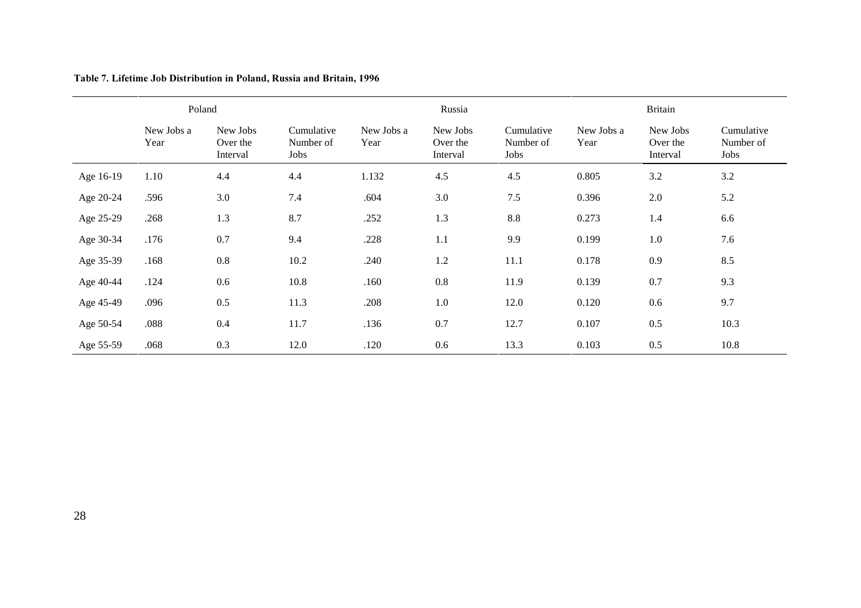|           | Poland             |                                  |                                 |                    | Russia                           |                                 |                    | <b>Britain</b>                   |                                 |
|-----------|--------------------|----------------------------------|---------------------------------|--------------------|----------------------------------|---------------------------------|--------------------|----------------------------------|---------------------------------|
|           | New Jobs a<br>Year | New Jobs<br>Over the<br>Interval | Cumulative<br>Number of<br>Jobs | New Jobs a<br>Year | New Jobs<br>Over the<br>Interval | Cumulative<br>Number of<br>Jobs | New Jobs a<br>Year | New Jobs<br>Over the<br>Interval | Cumulative<br>Number of<br>Jobs |
| Age 16-19 | 1.10               | 4.4                              | 4.4                             | 1.132              | 4.5                              | 4.5                             | 0.805              | 3.2                              | 3.2                             |
| Age 20-24 | .596               | 3.0                              | 7.4                             | .604               | 3.0                              | 7.5                             | 0.396              | 2.0                              | 5.2                             |
| Age 25-29 | .268               | 1.3                              | 8.7                             | .252               | 1.3                              | 8.8                             | 0.273              | 1.4                              | 6.6                             |
| Age 30-34 | .176               | 0.7                              | 9.4                             | .228               | 1.1                              | 9.9                             | 0.199              | 1.0                              | 7.6                             |
| Age 35-39 | .168               | $0.8\,$                          | 10.2                            | .240               | 1.2                              | 11.1                            | 0.178              | 0.9                              | 8.5                             |
| Age 40-44 | .124               | 0.6                              | 10.8                            | .160               | 0.8                              | 11.9                            | 0.139              | 0.7                              | 9.3                             |
| Age 45-49 | .096               | 0.5                              | 11.3                            | .208               | 1.0                              | 12.0                            | 0.120              | 0.6                              | 9.7                             |
| Age 50-54 | .088               | 0.4                              | 11.7                            | .136               | 0.7                              | 12.7                            | 0.107              | 0.5                              | 10.3                            |
| Age 55-59 | .068               | 0.3                              | 12.0                            | .120               | 0.6                              | 13.3                            | 0.103              | 0.5                              | 10.8                            |

Table 7. Lifetime Job Distribution in Poland, Russia and Britain, 1996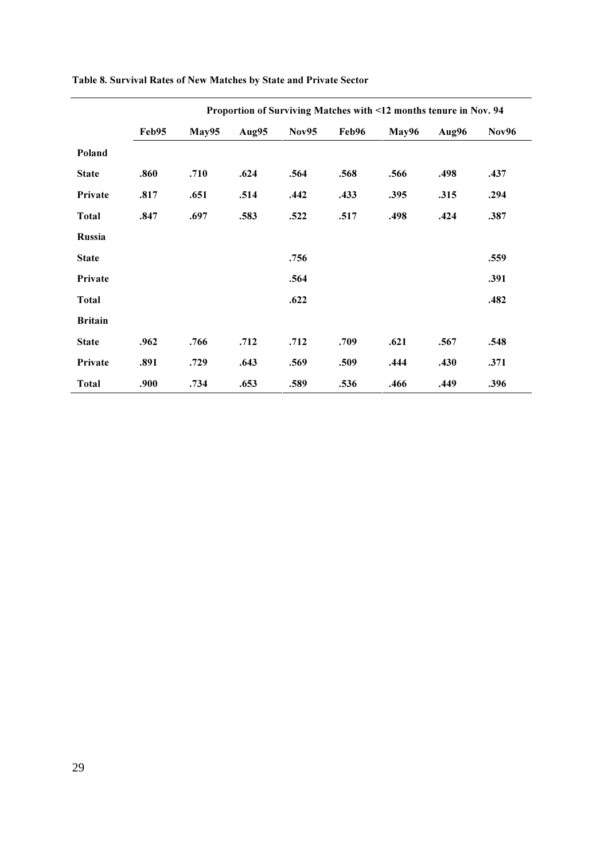|                |       | Proportion of Surviving Matches with <12 months tenure in Nov. 94 |       |              |       |       |       |              |  |  |  |
|----------------|-------|-------------------------------------------------------------------|-------|--------------|-------|-------|-------|--------------|--|--|--|
|                | Feb95 | May95                                                             | Aug95 | <b>Nov95</b> | Feb96 | May96 | Aug96 | <b>Nov96</b> |  |  |  |
| Poland         |       |                                                                   |       |              |       |       |       |              |  |  |  |
| <b>State</b>   | .860  | .710                                                              | .624  | .564         | .568  | .566  | .498  | .437         |  |  |  |
| Private        | .817  | .651                                                              | .514  | .442         | .433  | .395  | .315  | .294         |  |  |  |
| <b>Total</b>   | .847  | .697                                                              | .583  | .522         | .517  | .498  | .424  | .387         |  |  |  |
| <b>Russia</b>  |       |                                                                   |       |              |       |       |       |              |  |  |  |
| <b>State</b>   |       |                                                                   |       | .756         |       |       |       | .559         |  |  |  |
| Private        |       |                                                                   |       | .564         |       |       |       | .391         |  |  |  |
| <b>Total</b>   |       |                                                                   |       | .622         |       |       |       | .482         |  |  |  |
| <b>Britain</b> |       |                                                                   |       |              |       |       |       |              |  |  |  |
| <b>State</b>   | .962  | .766                                                              | .712  | .712         | .709  | .621  | .567  | .548         |  |  |  |
| Private        | .891  | .729                                                              | .643  | .569         | .509  | .444  | .430  | .371         |  |  |  |
| <b>Total</b>   | .900  | .734                                                              | .653  | .589         | .536  | .466  | .449  | .396         |  |  |  |

### Table 8. Survival Rates of New Matches by State and Private Sector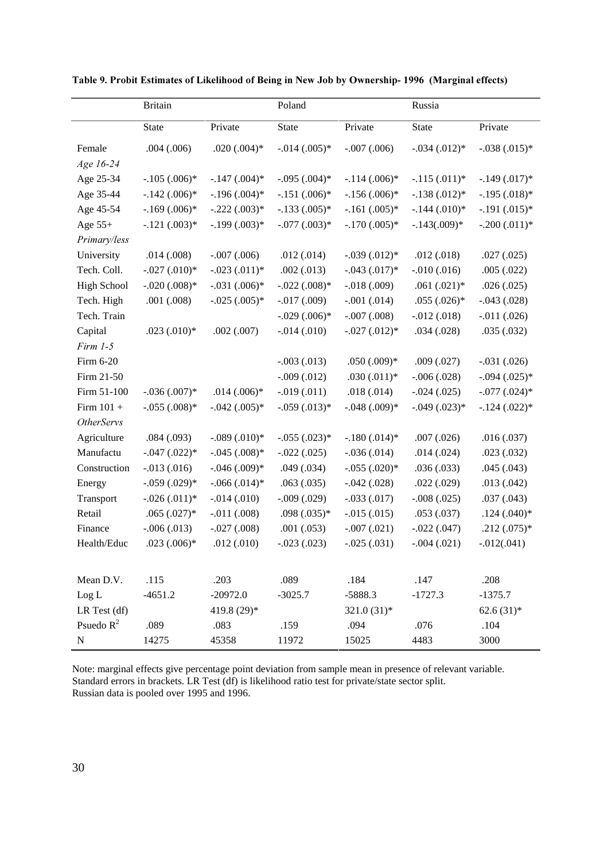|                    | <b>Britain</b>  |                 | Poland          |                | Russia          |                 |
|--------------------|-----------------|-----------------|-----------------|----------------|-----------------|-----------------|
|                    | State           | Private         | <b>State</b>    | Private        | State           | Private         |
| Female             | .004(.006)      | $.020(.004)*$   | $-.014(.005)*$  | $-.007(.006)$  | $-.034(.012)*$  | $-.038(.015)*$  |
| Age 16-24          |                 |                 |                 |                |                 |                 |
| Age 25-34          | $-.105(.006)*$  | $-.147(.004)*$  | $-.095(.004)*$  | $-.114(.006)*$ | $-.115(.011)*$  | $-.149(.017)*$  |
| Age 35-44          | $-.142(.006)*$  | $-.196(.004)*$  | $-.151(.006)*$  | $-.156(.006)*$ | $-.138(.012)*$  | $-.195(.018)*$  |
| Age 45-54          | $-.169(.006)*$  | $-.222(.003)*$  | $-.133(.005)*$  | $-.161(.005)*$ | $-.144(.010)*$  | $-.191(.015)*$  |
| Age $55+$          | $-.121(.003)*$  | $-.199(.003)*$  | $-.077(.003)*$  | $-.170(.005)*$ | $-.143(.009)*$  | $-.200(.011)*$  |
| Primary/less       |                 |                 |                 |                |                 |                 |
| University         | .014(.008)      | $-.007(.006)$   | .012(.014)      | $-.039(.012)*$ | .012(.018)      | .027(.025)      |
| Tech. Coll.        | $-.027(.010)*$  | $-.023(.011)*$  | .002(.013)      | $-.043(.017)*$ | $-.010(.016)$   | .005(.022)      |
| <b>High School</b> | $-.020(.008)*$  | $-.031(.006)*$  | $-.022(.008)*$  | $-.018(.009)$  | $.061(.021)*$   | .026(.025)      |
| Tech. High         | .001(.008)      | $-.025(.005)*$  | $-0.017(0.009)$ | $-.001(.014)$  | $.055(.026)$ *  | $-.043(.028)$   |
| Tech. Train        |                 |                 | $-.029(.006)*$  | $-.007(.008)$  | $-0.012(0.018)$ | $-0.011(0.026)$ |
| Capital            | $.023(.010)*$   | .002(.007)      | $-0.014(0.010)$ | $-.027(.012)*$ | .034(.028)      | .035(.032)      |
| $Firm 1-5$         |                 |                 |                 |                |                 |                 |
| Firm 6-20          |                 |                 | $-.003(.013)$   | $.050(.009)*$  | .009(.027)      | $-.031(.026)$   |
| Firm 21-50         |                 |                 | $-.009(.012)$   | $.030(.011)*$  | $-.006(.028)$   | $-.094(.025)*$  |
| Firm 51-100        | $-.036(.007)*$  | $.014(.006)*$   | $-0.019(0.011)$ | .018(.014)     | $-.024(.025)$   | $-.077(.024)*$  |
| Firm $101 +$       | $-.055(.008)*$  | $-.042(.005)*$  | $-.059(.013)*$  | $-.048(.009)*$ | $-.049(.023)*$  | $-.124(.022)*$  |
| <b>OtherServs</b>  |                 |                 |                 |                |                 |                 |
| Agriculture        | .084(.093)      | $-.089(.010)*$  | $-.055(.023)*$  | $-.180(.014)*$ | .007(.026)      | .016(.037)      |
| Manufactu          | $-.047(.022)*$  | $-.045(.008)*$  | $-.022(.025)$   | $-.036(.014)$  | .014(.024)      | .023(.032)      |
| Construction       | $-0.013(0.016)$ | $-.046(.009)*$  | .049(.034)      | $-.055(.020)*$ | .036(.033)      | .045(.043)      |
| Energy             | $-.059(.029)*$  | $-.066(.014)*$  | .063(.035)      | $-.042(.028)$  | .022(.029)      | .013(.042)      |
| Transport          | $-.026(.011)*$  | $-0.014(0.010)$ | $-.009(.029)$   | $-.033(.017)$  | $-.008(.025)$   | .037(.043)      |
| Retail             | $.065(.027)$ *  | $-.011(.008)$   | $.098(.035)*$   | $-.015(.015)$  | .053(.037)      | $.124(.040)*$   |
| Finance            | $-.006(.013)$   | $-.027(.008)$   | .001(.053)      | $-.007(.021)$  | $-.022(.047)$   | $.212(.075)*$   |
| Health/Educ        | $.023(.006)*$   | .012(.010)      | $-.023(.023)$   | $-.025(.031)$  | $-.004(.021)$   | $-0.012(0.041)$ |
|                    |                 |                 |                 |                |                 |                 |
| Mean D.V.          | .115            | .203            | .089            | .184           | .147            | .208            |
| Log L              | $-4651.2$       | $-20972.0$      | $-3025.7$       | $-5888.3$      | $-1727.3$       | $-1375.7$       |
| LR Test (df)       |                 | 419.8 (29)*     |                 | $321.0(31)*$   |                 | $62.6(31)*$     |
| Psuedo $R^2$       | .089            | .083            | .159            | .094           | .076            | .104            |
| ${\bf N}$          | 14275           | 45358           | 11972           | 15025          | 4483            | 3000            |

Table 9. Probit Estimates of Likelihood of Being in New Job by Ownership-1996 (Marginal effects)

Note: marginal effects give percentage point deviation from sample mean in presence of relevant variable. Standard errors in brackets. LR Test (df) is likelihood ratio test for private/state sector split. Russian data is pooled over 1995 and 1996.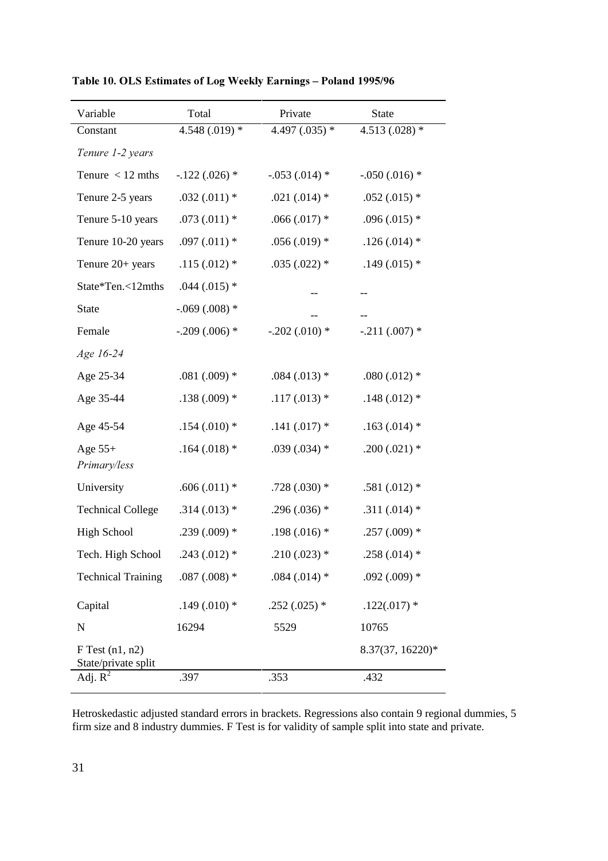| Variable                                   | Total            | Private          | <b>State</b>     |
|--------------------------------------------|------------------|------------------|------------------|
| Constant                                   | 4.548 $(.019)$ * | 4.497 $(.035)$ * | 4.513 (.028) $*$ |
| Tenure 1-2 years                           |                  |                  |                  |
| Tenure $<$ 12 mths                         | $-.122(.026)$ *  | $-.053(.014)$ *  | $-.050(.016)$ *  |
| Tenure 2-5 years                           | $.032(.011)*$    | .021 $(.014)$ *  | $.052(.015)$ *   |
| Tenure 5-10 years                          | $.073(.011)*$    | $.066(.017)$ *   | $.096(.015)$ *   |
| Tenure 10-20 years                         | $.097(.011)*$    | $.056(.019)$ *   | $.126(.014)$ *   |
| Tenure 20+ years                           | $.115(.012)$ *   | $.035(.022)*$    | $.149(.015)$ *   |
| State*Ten.<12mths                          | $.044(.015)$ *   |                  |                  |
| <b>State</b>                               | $-.069(.008)$ *  |                  |                  |
| Female                                     | $-.209(.006)$ *  | $-.202(.010)*$   | $-.211(.007)$ *  |
| Age 16-24                                  |                  |                  |                  |
| Age 25-34                                  | .081 $(.009)$ *  | $.084(.013)$ *   | .080 $(.012)$ *  |
| Age 35-44                                  | $.138(.009)$ *   | $.117(.013)$ *   | $.148(.012)$ *   |
| Age 45-54                                  | $.154(.010)*$    | $.141(.017)$ *   | $.163(.014)$ *   |
| Age $55+$<br>Primary/less                  | $.164(.018)$ *   | $.039(.034)$ *   | $.200(.021)$ *   |
| University                                 | $.606(.011)*$    | $.728(.030)$ *   | .581 $(.012)$ *  |
| <b>Technical College</b>                   | $.314(.013)*$    | $.296(.036)$ *   | .311 $(.014)$ *  |
| <b>High School</b>                         | $.239(.009)$ *   | $.198(.016)$ *   | $.257(.009)$ *   |
| Tech. High School                          | $.243(.012)$ *   | $.210(.023)$ *   | $.258(.014)$ *   |
| <b>Technical Training</b>                  | $.087(.008)*$    | $.084(.014)$ *   | $.092(.009)$ *   |
| Capital                                    | .149 $(.010)*$   | $.252(.025)$ *   | $.122(.017)$ *   |
| N                                          | 16294            | 5529             | 10765            |
| $F$ Test $(n1, n2)$<br>State/private split |                  |                  | 8.37(37, 16220)* |
| Adj. $R^2$                                 | .397             | .353             | .432             |

Table 10. OLS Estimates of Log Weekly Earnings - Poland 1995/96

Hetroskedastic adjusted standard errors in brackets. Regressions also contain 9 regional dummies, 5 firm size and 8 industry dummies. F Test is for validity of sample split into state and private.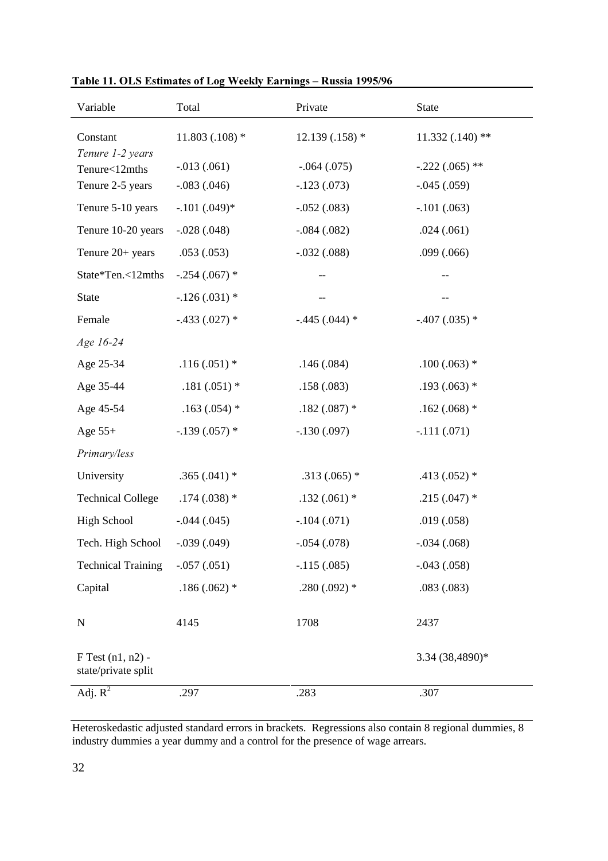| Variable                                     | Total           | Private          | <b>State</b>      |
|----------------------------------------------|-----------------|------------------|-------------------|
| Constant<br>Tenure 1-2 years                 | $11.803(.108)*$ | $12.139(.158)$ * | $11.332(.140)$ ** |
| Tenure<12mths                                | $-.013(.061)$   | $-0.064(0.075)$  | $-.222(.065)$ **  |
| Tenure 2-5 years                             | $-.083(.046)$   | $-.123(.073)$    | $-.045(.059)$     |
| Tenure 5-10 years                            | $-.101(.049)*$  | $-.052(.083)$    | $-.101(.063)$     |
| Tenure 10-20 years                           | $-.028(.048)$   | $-.084(.082)$    | .024(.061)        |
| Tenure 20+ years                             | .053(.053)      | $-.032(.088)$    | .099(.066)        |
| State*Ten.<12mths                            | $-.254(.067)$ * |                  | --                |
| <b>State</b>                                 | $-.126(.031)$ * |                  |                   |
| Female                                       | $-.433(.027)*$  | $-.445(.044)*$   | $-.407(.035)$ *   |
| Age 16-24                                    |                 |                  |                   |
| Age 25-34                                    | $.116(.051)$ *  | .146(.084)       | $.100(.063)$ *    |
| Age 35-44                                    | $.181(.051)$ *  | .158(.083)       | $.193(.063)$ *    |
| Age 45-54                                    | $.163(.054)$ *  | $.182(.087)$ *   | $.162(.068)$ *    |
| Age $55+$                                    | $-.139(.057)$ * | $-.130(.097)$    | $-.111(.071)$     |
| Primary/less                                 |                 |                  |                   |
| University                                   | $.365(.041)$ *  | $.313(.065)$ *   | $.413(.052)*$     |
| <b>Technical College</b>                     | $.174(.038)$ *  | $.132(.061)$ *   | $.215(.047)$ *    |
| <b>High School</b>                           | $-.044(.045)$   | $-.104(.071)$    | .019(.058)        |
| Tech. High School                            | $-.039(.049)$   | $-.054(.078)$    | $-.034(.068)$     |
| <b>Technical Training</b>                    | $-.057(.051)$   | $-.115(.085)$    | $-.043(.058)$     |
| Capital                                      | $.186(.062)$ *  | $.280(.092)$ *   | .083(.083)        |
| $\mathbf N$                                  | 4145            | 1708             | 2437              |
| $F$ Test $(n1, n2)$ -<br>state/private split |                 |                  | 3.34 (38,4890)*   |
| Adj. $\overline{R^2}$                        | .297            | .283             | .307              |

Table 11. OLS Estimates of Log Weekly Earnings - Russia 1995/96

Heteroskedastic adjusted standard errors in brackets. Regressions also contain 8 regional dummies, 8 industry dummies a year dummy and a control for the presence of wage arrears.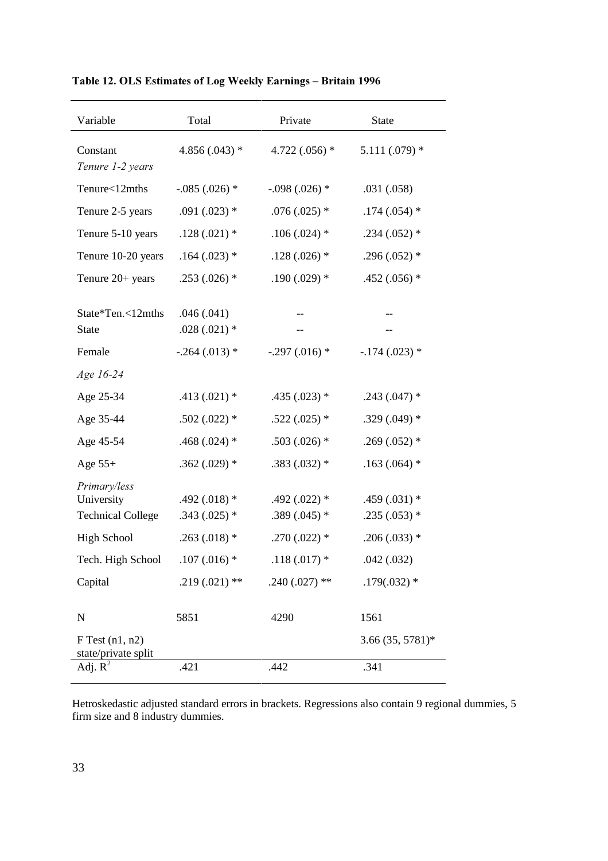| Variable                                               | Total                           | Private                         | State                           |
|--------------------------------------------------------|---------------------------------|---------------------------------|---------------------------------|
| Constant<br>Tenure 1-2 years                           | 4.856 $(.043)$ *                | 4.722 $(.056)$ *                | $5.111(.079)$ *                 |
| Tenure<12mths                                          | $-.085(.026)$ *                 | $-.098(.026)$ *                 | .031(.058)                      |
| Tenure 2-5 years                                       | $.091(.023)$ *                  | $.076(.025)$ *                  | $.174(.054)$ *                  |
| Tenure 5-10 years                                      | $.128(.021)$ *                  | $.106(.024)$ *                  | $.234(.052)*$                   |
| Tenure 10-20 years                                     | $.164(.023)$ *                  | $.128(.026)$ *                  | $.296(.052)$ *                  |
| Tenure 20+ years                                       | $.253(.026)$ *                  | $.190(.029)$ *                  | $.452(.056)$ *                  |
| State*Ten.<12mths<br><b>State</b>                      | .046(.041)<br>$.028(.021)$ *    |                                 |                                 |
| Female                                                 | $-.264(.013)$ *                 | $-.297(.016)$ *                 | $-.174(.023)$ *                 |
| Age 16-24                                              |                                 |                                 |                                 |
| Age 25-34                                              | $.413(.021)$ *                  | $.435(.023)*$                   | $.243(.047)$ *                  |
| Age 35-44                                              | $.502(.022)$ *                  | $.522(.025)$ *                  | $.329(.049)$ *                  |
| Age 45-54                                              | .468 $(.024)$ *                 | $.503(.026)$ *                  | $.269(.052)$ *                  |
| Age $55+$                                              | $.362(.029)$ *                  | $.383(.032)*$                   | $.163(.064)$ *                  |
| Primary/less<br>University<br><b>Technical College</b> | $.492(.018)*$<br>$.343(.025)$ * | $.492(.022)*$<br>$.389(.045)$ * | $.459(.031)$ *<br>$.235(.053)*$ |
| <b>High School</b>                                     | $.263(.018)$ *                  | $.270(.022)$ *                  | $.206(.033)$ *                  |
| Tech. High School                                      | $.107(.016)$ *                  | $.118(.017)$ *                  | .042(.032)                      |
| Capital                                                | $.219(.021)$ **                 | $.240(.027)$ **                 | $.179(.032)*$                   |
| $\mathbf N$                                            | 5851                            | 4290                            | 1561                            |
| $F$ Test $(n1, n2)$<br>state/private split             |                                 |                                 | $3.66(35, 5781)^*$              |
| Adj. $R^2$                                             | .421                            | .442                            | .341                            |

Table 12. OLS Estimates of Log Weekly Earnings - Britain 1996

Hetroskedastic adjusted standard errors in brackets. Regressions also contain 9 regional dummies, 5 firm size and 8 industry dummies.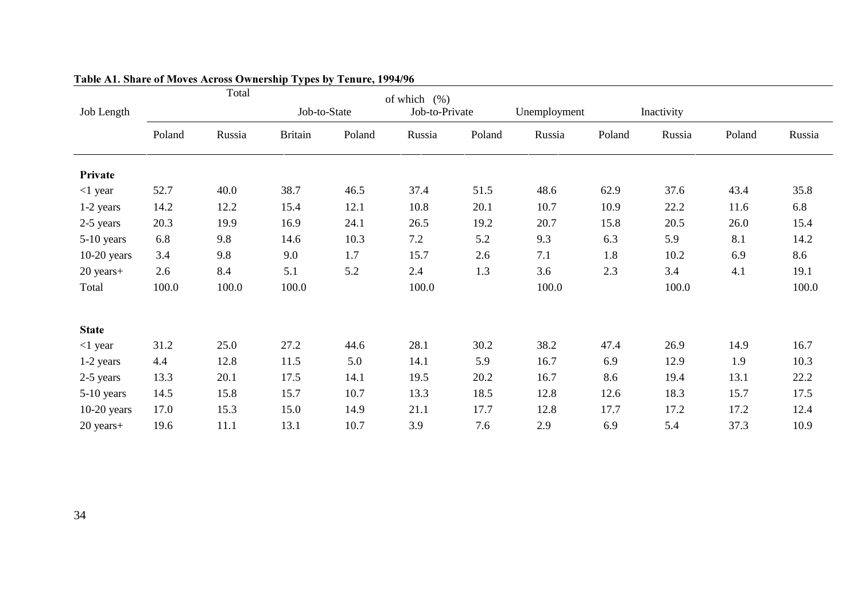| Job Length    |        | Total  | Job-to-State   |        | of which $(\%)$<br>Job-to-Private |        | Unemployment |        | Inactivity |        |        |
|---------------|--------|--------|----------------|--------|-----------------------------------|--------|--------------|--------|------------|--------|--------|
|               |        |        |                |        |                                   |        |              |        |            |        |        |
|               | Poland | Russia | <b>Britain</b> | Poland | Russia                            | Poland | Russia       | Poland | Russia     | Poland | Russia |
|               |        |        |                |        |                                   |        |              |        |            |        |        |
| Private       |        |        |                |        |                                   |        |              |        |            |        |        |
| $<$ 1 year    | 52.7   | 40.0   | 38.7           | 46.5   | 37.4                              | 51.5   | 48.6         | 62.9   | 37.6       | 43.4   | 35.8   |
| 1-2 years     | 14.2   | 12.2   | 15.4           | 12.1   | 10.8                              | 20.1   | 10.7         | 10.9   | 22.2       | 11.6   | 6.8    |
| 2-5 years     | 20.3   | 19.9   | 16.9           | 24.1   | 26.5                              | 19.2   | 20.7         | 15.8   | 20.5       | 26.0   | 15.4   |
| 5-10 years    | 6.8    | 9.8    | 14.6           | 10.3   | 7.2                               | 5.2    | 9.3          | 6.3    | 5.9        | 8.1    | 14.2   |
| $10-20$ years | 3.4    | 9.8    | 9.0            | 1.7    | 15.7                              | 2.6    | 7.1          | 1.8    | 10.2       | 6.9    | 8.6    |
| 20 years+     | 2.6    | 8.4    | 5.1            | 5.2    | 2.4                               | 1.3    | 3.6          | 2.3    | 3.4        | 4.1    | 19.1   |
| Total         | 100.0  | 100.0  | 100.0          |        | 100.0                             |        | 100.0        |        | 100.0      |        | 100.0  |
| <b>State</b>  |        |        |                |        |                                   |        |              |        |            |        |        |
| $<$ 1 year    | 31.2   | 25.0   | 27.2           | 44.6   | 28.1                              | 30.2   | 38.2         | 47.4   | 26.9       | 14.9   | 16.7   |
| 1-2 years     | 4.4    | 12.8   | 11.5           | 5.0    | 14.1                              | 5.9    | 16.7         | 6.9    | 12.9       | 1.9    | 10.3   |
|               | 13.3   | 20.1   | 17.5           | 14.1   |                                   | 20.2   |              | 8.6    |            |        | 22.2   |
| 2-5 years     |        |        |                |        | 19.5                              |        | 16.7         |        | 19.4       | 13.1   |        |
| 5-10 years    | 14.5   | 15.8   | 15.7           | 10.7   | 13.3                              | 18.5   | 12.8         | 12.6   | 18.3       | 15.7   | 17.5   |
| $10-20$ years | 17.0   | 15.3   | 15.0           | 14.9   | 21.1                              | 17.7   | 12.8         | 17.7   | 17.2       | 17.2   | 12.4   |
| 20 years+     | 19.6   | 11.1   | 13.1           | 10.7   | 3.9                               | 7.6    | 2.9          | 6.9    | 5.4        | 37.3   | 10.9   |

#### Table A1. Share of Moves Across Ownership Types by Tenure, 1994/96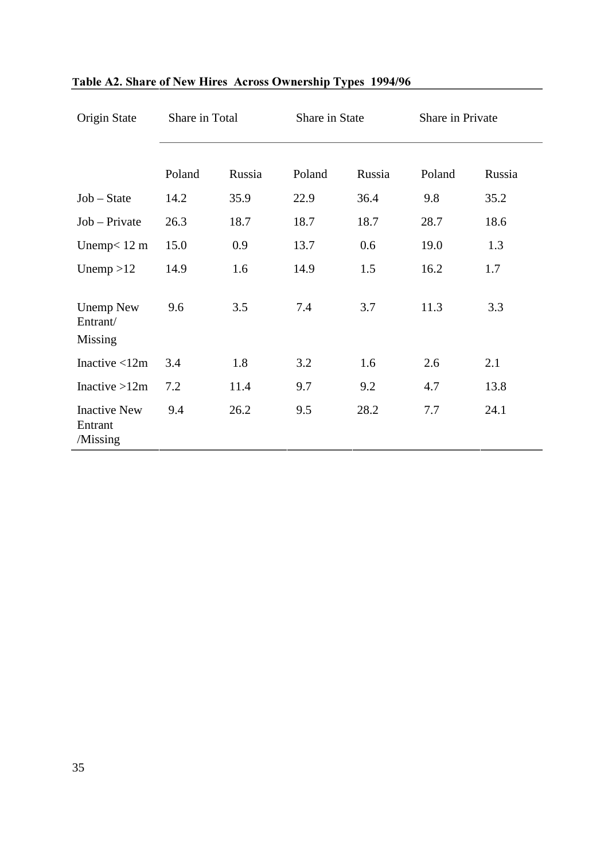| Origin State                               | Share in Total |        | Share in State |        | Share in Private |        |
|--------------------------------------------|----------------|--------|----------------|--------|------------------|--------|
|                                            | Poland         | Russia | Poland         | Russia | Poland           | Russia |
| $Job - State$                              | 14.2           | 35.9   | 22.9           | 36.4   | 9.8              | 35.2   |
| $Job - Private$                            | 26.3           | 18.7   | 18.7           | 18.7   | 28.7             | 18.6   |
| Unemp $< 12 \text{ m}$                     | 15.0           | 0.9    | 13.7           | 0.6    | 19.0             | 1.3    |
| Unemp $>12$                                | 14.9           | 1.6    | 14.9           | 1.5    | 16.2             | 1.7    |
| <b>Unemp New</b><br>Entrant/<br>Missing    | 9.6            | 3.5    | 7.4            | 3.7    | 11.3             | 3.3    |
| Inactive $<$ 12m                           | 3.4            | 1.8    | 3.2            | 1.6    | 2.6              | 2.1    |
| Inactive $>12m$                            | 7.2            | 11.4   | 9.7            | 9.2    | 4.7              | 13.8   |
| <b>Inactive New</b><br>Entrant<br>/Missing | 9.4            | 26.2   | 9.5            | 28.2   | 7.7              | 24.1   |

#### Table A2. Share of New Hires Across Ownership Types 1994/96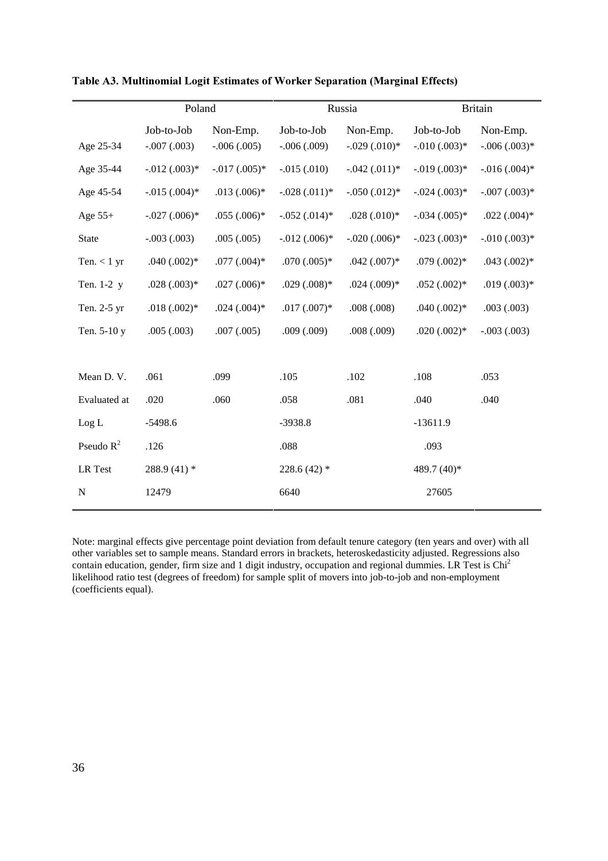|                | Poland         |                |                | Russia         | <b>Britain</b> |                 |
|----------------|----------------|----------------|----------------|----------------|----------------|-----------------|
|                | Job-to-Job     | Non-Emp.       | Job-to-Job     | Non-Emp.       | Job-to-Job     | Non-Emp.        |
| Age 25-34      | $-.007(.003)$  | $-.006(.005)$  | $-.006(.009)$  | $-.029(.010)*$ | $-.010(.003)*$ | $-.006(.003)*$  |
| Age 35-44      | $-.012(.003)*$ | $-.017(.005)*$ | $-.015(.010)$  | $-.042(.011)*$ | $-.019(.003)*$ | $-.016(.004)$ * |
| Age 45-54      | $-.015(.004)*$ | $.013(.006)*$  | $-.028(.011)*$ | $-.050(.012)*$ | $-.024(.003)*$ | $-.007(.003)*$  |
| Age $55+$      | $-.027(.006)*$ | $.055(.006)*$  | $-.052(.014)*$ | $.028(.010)*$  | $-.034(.005)*$ | $.022(.004)*$   |
| <b>State</b>   | $-.003(.003)$  | .005(.005)     | $-.012(.006)*$ | $-.020(.006)*$ | $-.023(.003)*$ | $-.010(.003)*$  |
| Ten. $< 1$ yr  | $.040(.002)*$  | $.077(.004)*$  | $.070(.005)*$  | $.042(.007)*$  | $.079(.002)*$  | $.043(.002)*$   |
| Ten. 1-2 y     | $.028(.003)*$  | $.027(.006)*$  | $.029(.008)*$  | $.024(.009)*$  | $.052(.002)*$  | $.019(.003)*$   |
| Ten. 2-5 yr    | $.018(.002)*$  | $.024(.004)$ * | $.017(.007)*$  | .008(.008)     | $.040(.002)*$  | .003(.003)      |
| Ten. 5-10 y    | .005(.003)     | .007(.005)     | .009(.009)     | .008(.009)     | $.020(.002)*$  | $-.003(.003)$   |
|                |                |                |                |                |                |                 |
| Mean D.V.      | .061           | .099           | .105           | .102           | .108           | .053            |
| Evaluated at   | .020           | .060           | .058           | .081           | .040           | .040            |
| Log L          | $-5498.6$      |                | $-3938.8$      |                | $-13611.9$     |                 |
| Pseudo $R^2$   | .126           |                | .088           |                | .093           |                 |
| <b>LR</b> Test | 288.9 (41) *   |                | 228.6 $(42)$ * |                | $489.7(40)$ *  |                 |
| N              | 12479          |                | 6640           |                | 27605          |                 |

Table A3. Multinomial Logit Estimates of Worker Separation (Marginal Effects)

Note: marginal effects give percentage point deviation from default tenure category (ten years and over) with all other variables set to sample means. Standard errors in brackets, heteroskedasticity adjusted. Regressions also contain education, gender, firm size and 1 digit industry, occupation and regional dummies. LR Test is Chi<sup>2</sup> likelihood ratio test (degrees of freedom) for sample split of movers into job-to-job and non-employment (coefficients equal).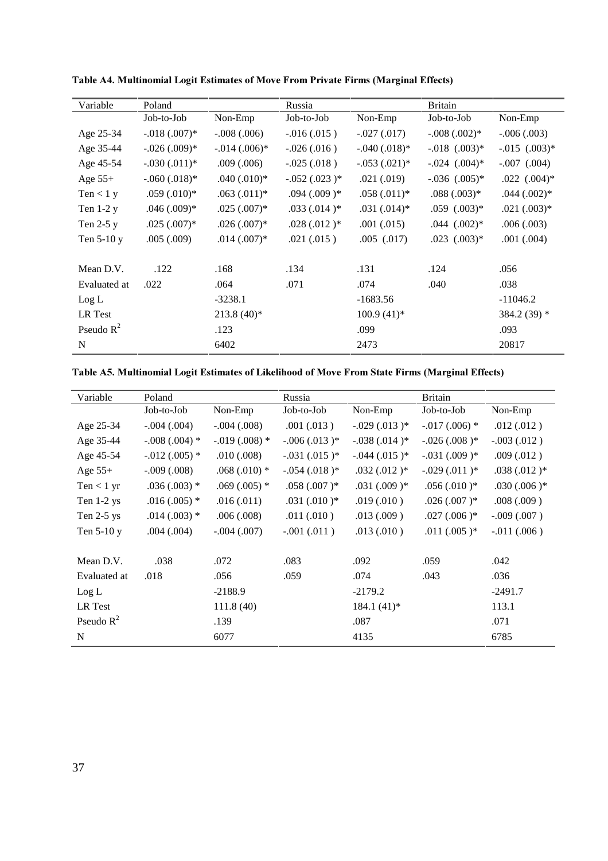| Variable     | Poland         |                  | Russia         |                 | <b>Britain</b>    |                   |
|--------------|----------------|------------------|----------------|-----------------|-------------------|-------------------|
|              | Job-to-Job     | Non-Emp          | Job-to-Job     | Non-Emp         | Job-to-Job        | Non-Emp           |
| Age 25-34    | $-.018(.007)*$ | $-.008(.006)$    | $-.016(.015)$  | $-.027(.017)$   | $-.008(.002)*$    | $-.006(.003)$     |
| Age 35-44    | $-.026(.009)*$ | $-.014(.006)*$   | $-.026(.016)$  | $-.040(.018)*$  | $-.018$ $(.003)*$ | $-.015$ $(.003)*$ |
| Age 45-54    | $-.030(.011)*$ | $.009$ $(.006)$  | $-.025(.018)$  | $-.053(.021)*$  | $-.024$ $(.004)*$ | $-.007$ $(.004)$  |
| Age $55+$    | $-.060(.018)*$ | $.040$ $(.010)*$ | $-.052(.023)*$ | .021(.019)      | $-.036$ $(.005)*$ | $.022$ $(.004)*$  |
| Ten $<$ 1 y  | $.059(.010)*$  | $.063(.011)*$    | $.094(.009)*$  | $.058(.011)*$   | $.088(.003)*$     | $.044 \,(.002)*$  |
| Ten $1-2y$   | $.046(.009)*$  | $.025(.007)*$    | $.033(.014)*$  | $.031(.014)*$   | $.059$ $(.003)*$  | $.021(.003)*$     |
| Ten $2-5y$   | $.025(.007)*$  | $.026(.007)$ *   | $.028(.012)*$  | $.001 \,(.015)$ | $.044$ $(.002)*$  | .006(.003)        |
| Ten 5-10 y   | .005(.009)     | $.014(.007)*$    | .021(.015)     | $.005$ $(.017)$ | $.023$ $(.003)*$  | .001(.004)        |
|              |                |                  |                |                 |                   |                   |
| Mean D.V.    | .122           | .168             | .134           | .131            | .124              | .056              |
| Evaluated at | .022           | .064             | .071           | .074            | .040              | .038              |
| Log L        |                | $-3238.1$        |                | $-1683.56$      |                   | $-11046.2$        |
| LR Test      |                | $213.8(40)$ *    |                | $100.9(41)*$    |                   | $384.2(39)$ *     |
| Pseudo $R^2$ |                | .123             |                | .099            |                   | .093              |
| N            |                | 6402             |                | 2473            |                   | 20817             |

Table A4. Multinomial Logit Estimates of Move From Private Firms (Marginal Effects)

|  | Table A5. Multinomial Logit Estimates of Likelihood of Move From State Firms (Marginal Effects) |
|--|-------------------------------------------------------------------------------------------------|
|  |                                                                                                 |

| Variable     | Poland          |                | Russia         |                | <b>Britain</b>  |                |
|--------------|-----------------|----------------|----------------|----------------|-----------------|----------------|
|              | Job-to-Job      | Non-Emp        | Job-to-Job     | Non-Emp        | Job-to-Job      | Non-Emp        |
| Age 25-34    | $-.004(.004)$   | $-.004(.008)$  | .001(.013)     | $-.029(.013)*$ | $-.017(.006)$ * | .012(.012)     |
| Age 35-44    | $-.008(.004)$ * | $-.019(.008)*$ | $-.006(.013)*$ | $-.038(.014)*$ | $-.026(.008)*$  | $-.003(.012.)$ |
| Age 45-54    | $-.012(.005)$ * | .010(.008)     | $-.031(.015)*$ | $-.044(.015)*$ | $-.031(.009)*$  | .009(.012)     |
| Age $55+$    | $-.009(.008)$   | $.068(.010)*$  | $-.054(.018)*$ | $.032(.012)*$  | $-.029(.011)^*$ | $.038(.012)*$  |
| Ten $< 1$ yr | $.036(.003)$ *  | $.069(.005)$ * | $.058(.007)*$  | $.031(.009)*$  | $.056(.010)*$   | $.030(.006)*$  |
| Ten 1-2 ys   | $.016(.005)$ *  | .016(.011)     | $.031(.010)*$  | .019(.010)     | $.026(.007)*$   | .008(.009)     |
| Ten $2-5$ ys | $.014(.003)$ *  | .006(.008)     | .011(.010)     | .013(.009)     | $.027(.006)*$   | $-.009(.007)$  |
| Ten 5-10 y   | $.004$ $(.004)$ | $-.004(.007)$  | $-.001(.011)$  | .013(.010)     | $.011(.005)*$   | $-.011(.006)$  |
|              |                 |                |                |                |                 |                |
| Mean D.V.    | .038            | .072           | .083           | .092           | .059            | .042           |
| Evaluated at | .018            | .056           | .059           | .074           | .043            | .036           |
| Log L        |                 | $-2188.9$      |                | $-2179.2$      |                 | $-2491.7$      |
| LR Test      |                 | 111.8(40)      |                | $184.1(41)$ *  |                 | 113.1          |
| Pseudo $R^2$ |                 | .139           |                | .087           |                 | .071           |
| N            |                 | 6077           |                | 4135           |                 | 6785           |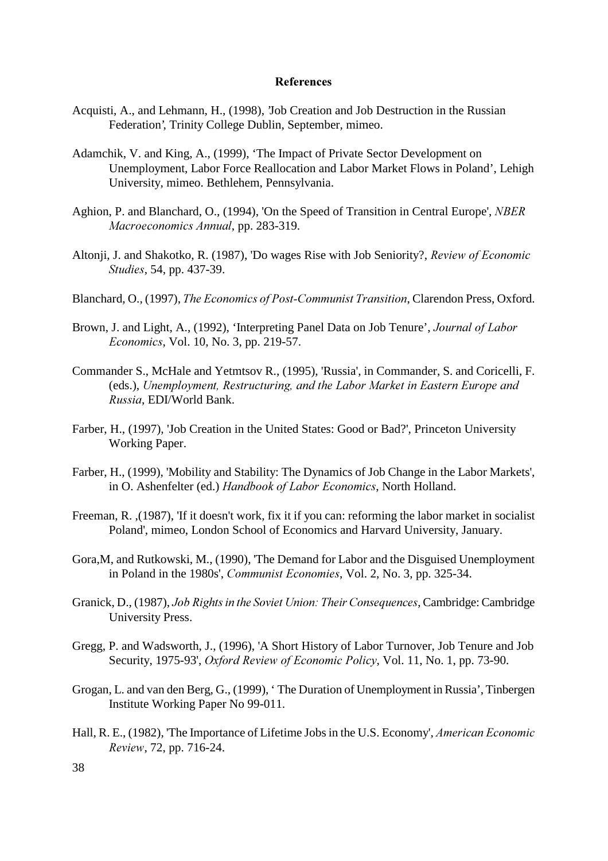#### References

- Acquisti, A., and Lehmann, H., (1998), 'Job Creation and Job Destruction in the Russian Federation', Trinity College Dublin, September, mimeo.
- Adamchik, V. and King, A., (1999), 'The Impact of Private Sector Development on Unemployment, Labor Force Reallocation and Labor Market Flows in Poland', Lehigh University, mimeo. Bethlehem, Pennsylvania.
- Aghion, P. and Blanchard, O., (1994), 'On the Speed of Transition in Central Europe', NBER Macroeconomics Annual, pp. 283-319.
- Altonji, J. and Shakotko, R. (1987), 'Do wages Rise with Job Seniority?, Review of Economic Studies, 54, pp. 437-39.
- Blanchard, O., (1997), The Economics of Post-Communist Transition, Clarendon Press, Oxford.
- Brown, J. and Light, A., (1992), 'Interpreting Panel Data on Job Tenure', Journal of Labor Economics, Vol. 10, No. 3, pp. 219-57.
- Commander S., McHale and Yetmtsov R., (1995), 'Russia', in Commander, S. and Coricelli, F. (eds.), Unemployment, Restructuring, and the Labor Market in Eastern Europe and , EDI/World Bank.
- Farber, H., (1997), 'Job Creation in the United States: Good or Bad?', Princeton University Working Paper.
- Farber, H., (1999), 'Mobility and Stability: The Dynamics of Job Change in the Labor Markets', in O. Ashenfelter (ed.) Handbook of Labor Economics, North Holland.
- Freeman, R. ,(1987), 'If it doesn't work, fix it if you can: reforming the labor market in socialist Poland', mimeo, London School of Economics and Harvard University, January.
- Gora,M, and Rutkowski, M., (1990), 'The Demand for Labor and the Disguised Unemployment in Poland in the 1980s', *Communist Economies*, Vol. 2, No. 3, pp. 325-34.
- Granick, D., (1987), Job Rights in the Soviet Union: Their Consequences, Cambridge: Cambridge University Press.
- Gregg, P. and Wadsworth, J., (1996), 'A Short History of Labor Turnover, Job Tenure and Job Security, 1975-93', Oxford Review of Economic Policy, Vol. 11, No. 1, pp. 73-90.
- Grogan, L. and van den Berg, G., (1999), ' The Duration of Unemployment in Russia', Tinbergen Institute Working Paper No 99-011.
- Hall, R. E., (1982), 'The Importance of Lifetime Jobs in the U.S. Economy', American Economic , 72, pp. 716-24.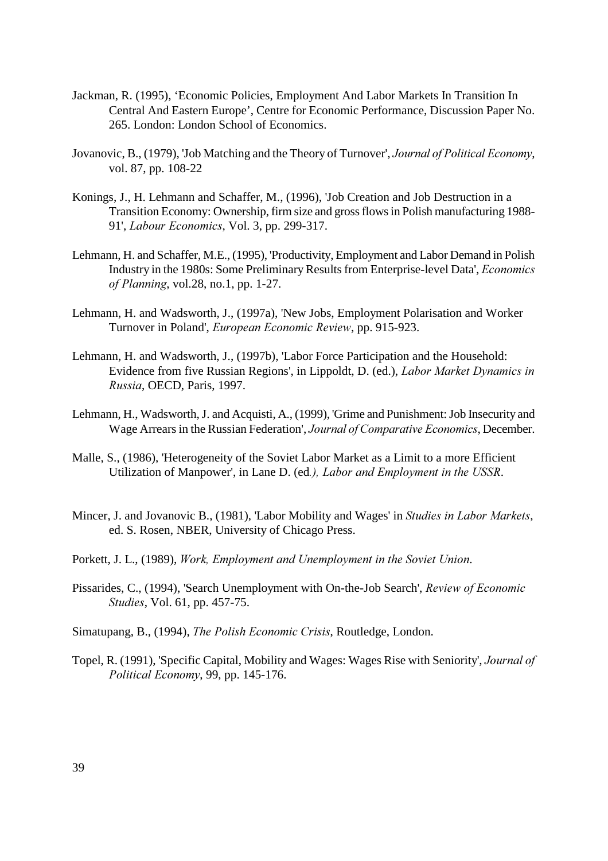- Jackman, R. (1995), 'Economic Policies, Employment And Labor Markets In Transition In Central And Eastern Europe', Centre for Economic Performance, Discussion Paper No. 265. London: London School of Economics.
- Jovanovic, B., (1979), 'Job Matching and the Theory of Turnover', Journal of Political Economy, vol. 87, pp. 108-22
- Konings, J., H. Lehmann and Schaffer, M., (1996), 'Job Creation and Job Destruction in a Transition Economy: Ownership, firm size and gross flows in Polish manufacturing 1988- 91', *Labour Economics*, Vol. 3, pp. 299-317.
- Lehmann, H. and Schaffer, M.E., (1995), 'Productivity, Employment and Labor Demand in Polish Industry in the 1980s: Some Preliminary Results from Enterprise-level Data', Economics of Planning, vol.28, no.1, pp. 1-27.
- Lehmann, H. and Wadsworth, J., (1997a), 'New Jobs, Employment Polarisation and Worker Turnover in Poland', *European Economic Review*, pp. 915-923.
- Lehmann, H. and Wadsworth, J., (1997b), 'Labor Force Participation and the Household: Evidence from five Russian Regions', in Lippoldt, D. (ed.), Labor Market Dynamics in , OECD, Paris, 1997.
- Lehmann, H., Wadsworth, J. and Acquisti, A., (1999), 'Grime and Punishment: Job Insecurity and Wage Arrears in the Russian Federation', Journal of Comparative Economics, December.
- Malle, S., (1986), 'Heterogeneity of the Soviet Labor Market as a Limit to a more Efficient Utilization of Manpower', in Lane D. (ed.), Labor and Employment in the USSR.
- Mincer, J. and Jovanovic B., (1981), 'Labor Mobility and Wages' in Studies in Labor Markets, ed. S. Rosen, NBER, University of Chicago Press.
- Porkett, J. L., (1989), Work, Employment and Unemployment in the Soviet Union.
- Pissarides, C., (1994), 'Search Unemployment with On-the-Job Search', Review of Economic Studies, Vol. 61, pp. 457-75.
- Simatupang, B., (1994), The Polish Economic Crisis, Routledge, London.
- Topel, R. (1991), 'Specific Capital, Mobility and Wages: Wages Rise with Seniority', Journal of Political Economy, 99, pp. 145-176.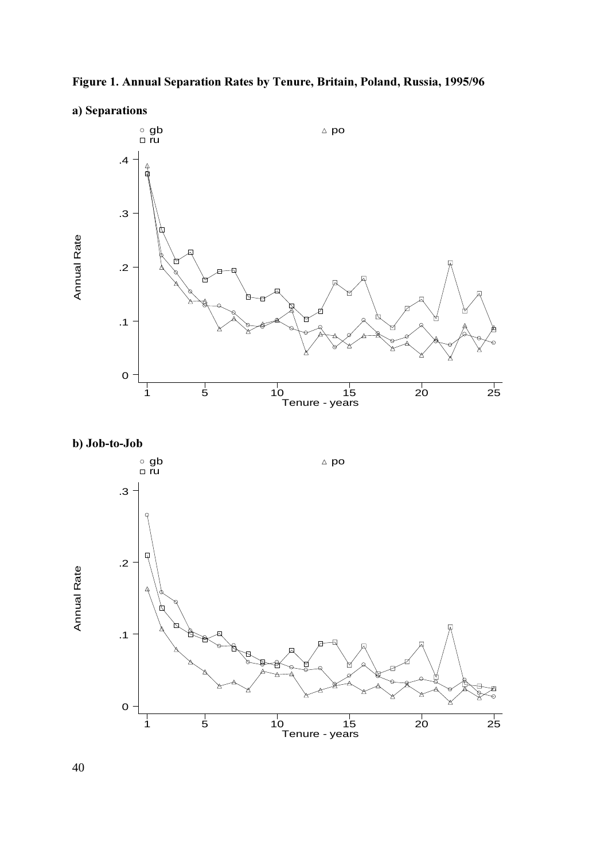



a) Separations





40